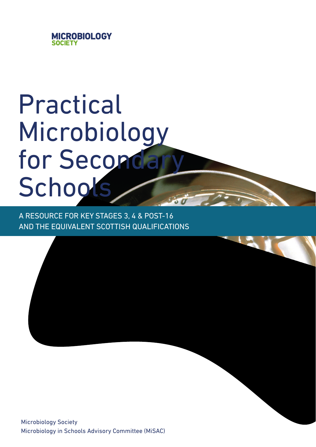

# Practical Microbiology for Secondary **Schools**

A RESOURCE FOR KEY STAGES 3, 4 & POST-16 AND THE EQUIVALENT SCOTTISH QUALIFICATIONS

Microbiology Society Microbiology in Schools Advisory Committee (MiSAC)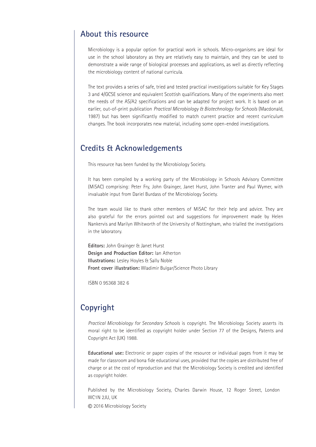### **About this resource**

Microbiology is a popular option for practical work in schools. Micro-organisms are ideal for use in the school laboratory as they are relatively easy to maintain, and they can be used to demonstrate a wide range of biological processes and applications, as well as directly reflecting the microbiology content of national curricula.

The text provides a series of safe, tried and tested practical investigations suitable for Key Stages 3 and 4/GCSE science and equivalent Scottish qualifications. Many of the experiments also meet the needs of the AS/A2 specifications and can be adapted for project work. It is based on an earlier, out-of-print publication *Practical Microbiology & Biotechnology for Schools* (Macdonald, 1987) but has been significantly modified to match current practice and recent curriculum changes. The book incorporates new material, including some open-ended investigations. **About this resource**<br>
Microbiology is a popular option for practica<br>
use in the school laboratory as they are rela<br>
demonstrate a wide range of biological proces<br>
the microbiology content of national curricula<br>
The text p

### **Credits & Acknowledgements**

This resource has been funded by the Microbiology Society.

It has been compiled by a working party of the Microbiology in Schools Advisory Committee (MiSAC) comprising: Peter Fry, John Grainger, Janet Hurst, John Tranter and Paul Wymer, with invaluable input from Dariel Burdass of the Microbiology Society.

The team would like to thank other members of MiSAC for their help and advice. They are The team would like to thank other members of MiSAC for their help and advice. They are<br>also grateful for the errors pointed out and suggestions for improvement made by Helen Nankervis and Marilyn Whitworth of the University of Nottingham, who trialled the investigations in the laboratory. in the laboratory.

**Editors:** John Grainger & Janet Hurst **Design and Production Editor:** Ian Atherton **Illustrations:** Lesley Hoyles & Sally Noble Front cover illustration: Wladimir Bulgar/Science Photo Library

ISBN 0 95368 382 6

### **Copyright**

Practical Microbiology for Secondary Schools is copyright. The Microbiology Society asserts its moral right to be identified as copyright holder under Section 77 of the Designs, Patents and Copyright Act (UK) 1988.

**Educational use:** Electronic or paper copies of the resource or individual pages from it may **Educational use:** Electronic or paper copies of the resource or individual pages from it may be<br>made for classroom and bona fide educational uses, provided that the copies are distributed free of charge or at the cost of reproduction and that the Microbiology Society is credited and identified<br>as copyright holder. as copyright holder.

Published by the Microbiology Society, Charles Darwin House, 12 Roger Street, London WC1N 2JU, UK

© 2016 Microbiology Society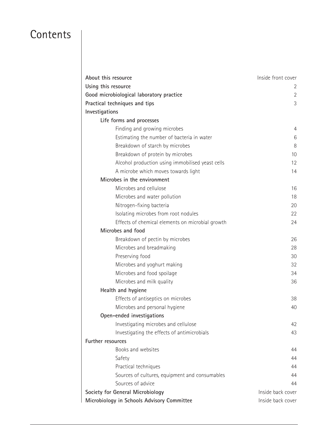## **Contents**

| About this resource                              | Inside front cover |
|--------------------------------------------------|--------------------|
| Using this resource                              | 2                  |
| Good microbiological laboratory practice         | 2                  |
| Practical techniques and tips                    | 3                  |
| Investigations                                   |                    |
| Life forms and processes                         |                    |
| Finding and growing microbes                     | 4                  |
| Estimating the number of bacteria in water       | 6                  |
| Breakdown of starch by microbes                  | 8                  |
| Breakdown of protein by microbes                 | 10                 |
| Alcohol production using immobilised yeast cells | 12                 |
| A microbe which moves towards light              | 14                 |
| Microbes in the environment                      |                    |
| Microbes and cellulose                           | 16                 |
| Microbes and water pollution                     | 18                 |
| Nitrogen-fixing bacteria                         | 20                 |
| Isolating microbes from root nodules             | 22                 |
| Effects of chemical elements on microbial growth | 24                 |
| Microbes and food                                |                    |
| Breakdown of pectin by microbes                  | 26                 |
| Microbes and breadmaking                         | 28                 |
| Preserving food                                  | 30                 |
| Microbes and yoghurt making                      | 32                 |
| Microbes and food spoilage                       | 34                 |
| Microbes and milk quality                        | 36                 |
| Health and hygiene                               |                    |
| Effects of antiseptics on microbes               | 38                 |
| Microbes and personal hygiene                    | 40                 |
| Open-ended investigations                        |                    |
| Investigating microbes and cellulose             | 42                 |
| Investigating the effects of antimicrobials      | 43                 |
| Further resources                                |                    |
| Books and websites                               | 44                 |
| Safety                                           | 44                 |
| Practical techniques                             | 44                 |
| Sources of cultures, equipment and consumables   | 44                 |
| Sources of advice                                | 44                 |
| Society for General Microbiology                 | Inside back cover  |
| Microbiology in Schools Advisory Committee       | Inside back cover  |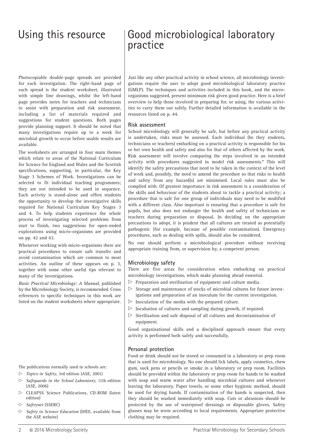## Using this resource | Good microbiological laboratory practice practice

Photocopiable double-page spreads are provided Photocopiable double-page spreads are provided for each investigation. The right-hand page of for each investigation. The right-hand page of each spread is the student worksheet, illustrated each spread is the student worksheet, illustrated with simple line drawings, whilst the left-hand with simple line drawings, whilst the left-hand page provides notes for teachers and technicians page provides notes for teachers and technicians to assist with preparation and risk assessment, to assist with preparation and risk assessment, including a list of materials required and including a list of materials required and suggestions for student questions. Both pages suggestions for student questions. Both pages provide planning support. It should be noted that provide planning support. It should be noted that many investigations require up to a week for many investigations require up to a week for microbial growth to occur before usable results are microbial growth to occur before usable results are available. available.

The worksheets are arranged in four main themes The worksheets are arranged in four main themes which relate to areas of the National Curriculum which relate to areas of the National Curriculum for Science for England and Wales and the Scottish for Science for England and Wales and the Scottish specifications, supporting, in particular, the Key specifications, supporting, in particular, the Key Stage 3 Schemes of Work. Investigations can be Stage 3 Schemes of Work. Investigations can be selected to fit individual teaching programmes; selected to fit individual teaching programmes; they are not intended to be used in sequence. they are not intended to be used in sequence. Each activity is stand-alone and offers students Each activity is stand-alone and offers students the opportunity to develop the investigative skills the opportunity to develop the investigative skills required for National Curriculum Key Stages 3 required for National Curriculum Key Stages 3 and 4. To help students experience the whole and 4. To help students experience the whole process of investigating selected problems from process of investigating selected problems from start to finish, two suggestions for open-ended start to finish, two suggestions for open-ended explorations using micro-organisms are provided explorations using micro-organisms are provided on pp. 42 and 43. on pp. 42 and 43.

Whenever working with micro-organisms there are Whenever working with micro-organisms there are practical procedures to ensure safe transfer and practical procedures to ensure safe transfer and avoid contamination which are common to most avoid contamination which are common to most activities. An outline of these appears on p. 3, activities. An outline of these appears on p. 3, together with some other useful tips relevant to together with some other useful tips relevant to many of the investigations. many of the investigations.

*Basic Practical Microbiology: A Manual*, published *Basic Practical Microbiology: A Manual*, published *A* , published **busted There are the serveregy of the Microbiology Society, is recommended. Cross** specific techniques in this work are references to specific techniques in this work are student worksheets where appropriate. student worksheets where appropriate. listed on the student worksheets where appropriate.

The publications normally used in schools are:

- x *Topics in Safety*, 3rd edition (ASE, 2001)
- $\triangleright$  *Safeguards in the School Laboratory*, 11th edition (ASE, 2006)
- \*Model risk assessments that can be consulted include \*Model risk assessments that can be consulted include *Microbiology: an HMI Guide for Schools and Further Education* x CLEAPSS Science Publications, CD-ROM (latest edition) (HMSO 1990, now out of print), *Topics in Safety* (ASE 1988, 2001),
- *ClEAPS Safetynet* (SSERC)  $\triangleright$  *Safetynet* (SSERC)
- 2001), *Safety in Science Education* (DfEE; HMSO 1996) and *Biology/Biotechnology Safety in Microbiology: A Code of Practice Biology/Biotechnology Safety in Microbiology: A Code of Practice* x *Safety in Science Education* (DfEE, available from *for Schools and Colleges in Science Education (STEE, available)*

Just like any other practical activity in school science, all microbiology investi-Just like any other practical activity in school science, all microbiology investigations require the user to adopt good microbiological laboratory practice gations require the user to adopt good microbiological laboratory practice (GMLP). The techniques and activities included in this book, and the micro-(GMLP). The techniques and activities included in this book, and the microorganisms suggested, present minimum risk given good practice. Here is a brief organisms suggested, present minimum risk given good practice. Here is a brief overview to help those involved in preparing for, or using, the various activi-overview to help those involved in preparing for, or using, the various activities to carry them out safely. Further detailed information is available in the ties to carry them out safely. Further detailed information is available in the resources listed on p. 44. resources listed on p. 44.

### **Risk assessment Risk assessment**

School microbiology will generally be safe, but before any practical activity School microbiology will generally be safe, but before any practical activity is undertaken, risks must be assessed. Each individual (be they students, is undertaken, risks must be assessed. Each individual (be they students, technicians or teachers) embarking on a practical activity is responsible for his technicians or teachers) embarking on a practical activity is responsible for his or her own health and safety and also for that of others affected by the work. or her own health and safety and also for that of others affected by the work. Risk assessment will involve comparing the steps involved in an intended Risk assessment will involve comparing the steps involved in an intended activity with procedures suggested in model risk assessments.\* This will activity with procedures suggested in model risk assessments.\* This will identify the safety precautions that need to be taken in the context of the level identify the safety precautions that need to be taken in the context of the level of work and, possibly, the need to amend the procedure so that risks to health of work and, possibly, the need to amend the procedure so that risks to health and safety from any hazard(s) are minimised. Local rules must also be and safety from any hazard(s) are minimised. Local rules must also be complied with. Of greatest importance in risk assessment is a consideration of complied with. Of greatest importance in risk assessment is a consideration of the skills and behaviour of the students about to tackle a practical activity; a the skills and behaviour of the students about to tackle a practical activity; a procedure that is safe for one group of individuals may need to be modified procedure that is safe for one group of individuals may need to be modified with a different class. Also important is ensuring that a procedure is safe for with a different class. Also important is ensuring that a procedure is safe for pupils, but also does not endanger the health and safety of technicians or pupils, but also does not endanger the health and safety of technicians or teachers during preparation or disposal. In deciding on the appropriate teachers during preparation or disposal. In deciding on the appropriate precautions to adopt, it is prudent that all cultures are treated as potentially precautions to adopt, it is prudent that all cultures are treated as potentially pathogenic (for example, because of possible contamination). Emergency pathogenic (for example, because of possible contamination). Emergency procedures, such as dealing with spills, should also be considered. procedures, such as dealing with spills, should also be considered.

No one should perform a microbiological procedure without receiving No one should perform a microbiological procedure without receiving appropriate training from, or supervision by, a competent person. appropriate training from, or supervision sy,

#### **Microbiology safety**

**Microbiology safety** There are five areas for consideration when embarking on practical There are five areas for consideration when embarking on practical microbiology investigations, which make planning ahead essential. microbiology investigations, which make planning ahead essential.

- Preparation and sterilisation of equipment and culture media. Preparation and sterilisation of equipment and culture media.
- Storage and maintenance of stocks of microbial cultures for future invest-igations and preparation of an inoculum for the current investigation. igations and preparation of an inoculum for the current investigation.  $\triangleright$  Storage and maintenance of stocks of microbial cultures for future invest-
- $\triangleright$  Inoculation of the media with the prepared culture.
- $\triangleright$  Incubation of cultures and sampling during growth, if required.
- $\triangleright$  Sterilisation and safe disposal of all cultures and decontamination of equipment equipment. equipment.

Good organisational skins and a disciplined approach ensure that every activity is performed both safely and successfully. activity is performed both safely and successfully. Good organisational skills and a disciplined approach ensure that every

### **Personal protection Personal protection**

Food or drink should not be stored or consumed in a laboratory or prep room Food or drink should not be stored or consumed in a laboratory or prep room that is used for microbiology. No one should lick labels, apply cosmetics, chew that is used for microbiology. No one should lick labels, apply cosmetics, chew gum, suck pens or pencils or smoke in a laboratory or prep room. Facilities gum, suck pens or pencils or smoke in a laboratory or prep room. Facilities should be provided within the laboratory or prep room for hands to be washed should be provided within the laboratory or prep room for hands to be washed with soap and warm water after handling microbial cultures and whenever with soap and warm water after handling microbial cultures and whenever leaving the laboratory. Paper towels, or some other hygienic method, should leaving the laboratory. Paper towels, or some other hygienic method, should be used for drying hands. If contamination of the hands is suspected, then be used for drying hands. If contamination of the hands is suspected, then they should be washed immediately with soap. Cuts or abrasions should be they should be washed immediately with soap. Cuts or abrasions should be protected by the use of waterproof dressings or disposable gloves. Safety protected by the use of waterproof dressings or disposable gloves. Safety glasses may be worn according to local requirements. Appropriate protective glasses may be worn according to local requirements. Appropriate protective clothing may be required. clothing may be required.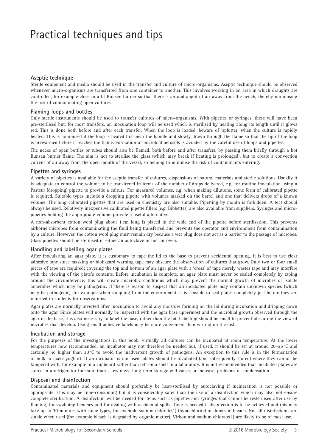## Practical techniques and tips

#### **Aseptic technique**

Sterile equipment and media should be used in the transfer and culture of micro-organisms. Aseptic technique should be observed whenever micro-organisms are transferred from one container to another. This involves working in an area in which draughts are controlled, for example close to a lit Bunsen burner so that there is an updraught of air away from the bench, thereby minimising the risk of contaminating open cultures.

#### **Flaming loops and bottles**

Only sterile instruments should be used to transfer cultures of micro-organisms. With pipettes or syringes, these will have been pre-sterilised but, for most transfers, an inoculation loop will be used which is sterilised by heating along its length until it glows red. This is done both before and after each transfer. When the loop is loaded, beware of 'splutter' when the culture is rapidly heated. This is minimised if the loop is heated first near the handle and slowly drawn through the flame so that the tip of the loop is prewarmed before it reaches the flame. Formation of microbial aerosols is avoided by the careful use of loops and pipettes.

The necks of open bottles or tubes should also be flamed, both before and after transfers, by passing them briefly through a hot Bunsen burner flame. The aim is not to sterilise the glass (which may break if heating is prolonged), but to create a convection current of air away from the open mouth of the vessel, so helping to minimise the risk of contaminants entering.

#### **Pipettes and syringes**

A variety of pipettes is available for the aseptic transfer of cultures, suspensions of natural materials and sterile solutions. Usually it is adequate to control the volume to be transferred in terms of the number of drops delivered, e.g. for routine inoculation using a Pasteur (dropping) pipette to provide a culture. For measured volumes, e.g. when making dilutions, some form of calibrated pipette is required. Suitable types include a dropping pipette with volumes marked on the barrel and one that delivers drops of a known volume. The long calibrated pipettes that are used in chemistry are also suitable. Pipetting by mouth is forbidden. A teat should always be used. Relatively inexpensive calibrated pipette fillers (e.g. Bibbettes) are also available from suppliers. Syringes and micropipettes holding the appropriate volume provide a useful alternative.

A non-absorbent cotton wool plug about 1 cm long is placed in the wide end of the pipette before sterilisation. This prevents airborne microbes from contaminating the fluid being transferred and prevents the operator and environment from contamination by a culture. However, the cotton wool plug must remain dry because a wet plug does not act as a barrier to the passage of microbes. Glass pipettes should be sterilised in either an autoclave or hot air oven.

#### **Handling and labelling agar plates**

After inoculating an agar plate, it is customary to tape the lid to the base to prevent accidental opening. It is best to use clear adhesive tape since masking or biohazard warning tape may obscure the observation of cultures that grow. Only two or four small pieces of tape are required; covering the top and bottom of an agar plate with a 'cross' of tape merely wastes tape and may interfere with the viewing of the plate's contents. Before incubation is complete, an agar plate must never be sealed completely by taping around the circumference; this will create anaerobic conditions which may prevent the normal growth of microbes or isolate anaerobes which may be pathogenic. If there is reason to suspect that an incubated plate may contain unknown species (which may be pathogenic), for example when sampling from the environment, it is sensible to seal plates completely just before they are returned to students for observations.

Agar plates are normally inverted after inoculation to avoid any moisture forming on the lid during incubation and dripping down onto the agar. Since plates will normally be inspected with the agar base uppermost and the microbial growth observed through the agar in the base, it is also necessary to label the base, rather than the lid. Labelling should be small to prevent obscuring the view of microbes that develop. Using small adhesive labels may be more convenient than writing on the dish.

#### **Incubation and storage**

For the purposes of the investigations in this book, virtually all cultures can be incubated at room temperature. At the lower temperatures now recommended, an incubator may not therefore be needed but, if used, it should be set at around 20–25 °C and certainly no higher than 30 °C to avoid the inadvertent growth of pathogens. An exception to this rule is in the fermentation of milk to make yoghurt. If an incubator is not used, plates should be incubated (and subsequently stored) where they cannot be tampered with, for example in a cupboard rather than left on a shelf in a laboratory. It is not recommended that incubated plates are stored in a refrigerator for more than a few days; long-term storage will cause, or increase, problems of condensation.

#### **Disposal and disinfection**

Contaminated materials and equipment should preferably be heat-sterilised by autoclaving if incineration is not possible or appropriate. This may be time-consuming but it is considerably safer than the use of a disinfectant which may also not ensure complete sterilisation. A disinfectant will be needed for items such as pipettes and syringes that cannot be resterilised after use by flaming, for swabbing benches and for dealing with accidental spills. Time is needed if disinfection is to be achieved and this may take up to 30 minutes with some types, for example sodium chlorate(1) (hypochlorite) or domestic bleach. Not all disinfectants are stable when used (for example bleach is degraded by organic matter). Virkon and sodium chlorate(1) are likely to be of most use.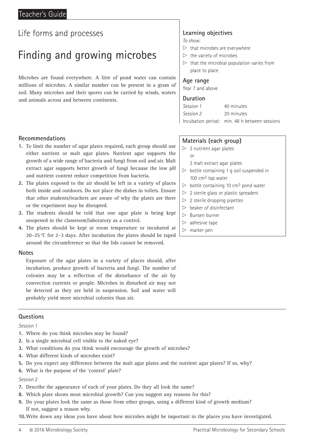## Finding and growing microbes

Microbes are found everywhere. A litre of pond water can contain millions of microbes. A similar number can be present in a gram of soil. Many microbes and their spores can be carried by winds, waters and animals across and between continents.

#### **Recommendations**

- **1.** To limit the number of agar plates required, each group should use either nutrient or malt agar plates. Nutrient agar supports the growth of a wide range of bacteria and fungi from soil and air. Malt extract agar supports better growth of fungi because the low pH and nutrient content reduce competition from bacteria.
- **2.** The plates exposed to the air should be left in a variety of places both inside and outdoors. Do not place the dishes in toilets. Ensure that other students/teachers are aware of why the plates are there or the experiment may be disrupted.
- **3.** The students should be told that one agar plate is being kept unopened in the classroom/laboratory as a control.
- **4.** The plates should be kept at room temperature or incubated at 20–25 °C for 2–3 days. After incubation the plates should be taped around the circumference so that the lids cannot be removed.

#### **Notes**

Exposure of the agar plates in a variety of places should, after incubation, produce growth of bacteria and fungi. The number of colonies may be a reflection of the disturbance of the air by convection currents or people. Microbes in disturbed air may not be detected as they are held in suspension. Soil and water will probably yield more microbial colonies than air.

#### **Questions**

#### *Session 1*

- **1.** Where do you think microbes may be found?
- **2.** Is a single microbial cell visible to the naked eye?
- **3.** What conditions do you think would encourage the growth of microbes?
- **4.** What different kinds of microbes exist?
- **5.** Do you expect any difference between the malt agar plates and the nutrient agar plates? If so, why?
- **6.** What is the purpose of the 'control' plate?

#### *Session 2*

- **7.** Describe the appearance of each of your plates. Do they all look the same?
- **8.** Which plate shows most microbial growth? Can you suggest any reasons for this?
- **9.** Do your plates look the same as those from other groups, using a different kind of growth medium? If not, suggest a reason why.

**10.**Write down any ideas you have about how microbes might be important in the places you have investigated.

## **Learning objectives**

#### *To show:*

- $\triangleright$  that microbes are everywhere
- $\triangleright$  the variety of microbes
- $\triangleright$  that the microbial population varies from place to place

#### **Age range**

Year 7 and above

#### **Duration**

| Session 1 | 40 minutes                                    |
|-----------|-----------------------------------------------|
| Session 2 | 20 minutes                                    |
|           | Incubation period: min. 48 h between sessions |

#### **Materials (each group)**

- $> 3$  nutrient agar plates
	- *or* 
		- 3 malt extract agar plates
- $\triangleright$  bottle containing 1 g soil suspended in 100  $cm<sup>3</sup>$  tap water
- $\triangleright$  bottle containing 10 cm<sup>3</sup> pond water
- $\triangleright$  2 sterile glass or plastic spreaders
- $> 2$  sterile dropping pipettes
- $\triangleright$  beaker of disinfectant
- $\triangleright$  Bunsen burner
- $\triangleright$  adhesive tape
- $\triangleright$  marker pen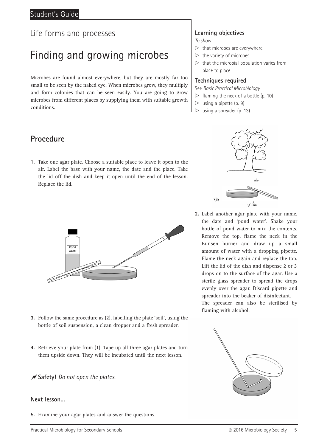## Finding and growing microbes

Microbes are found almost everywhere, but they are mostly far too small to be seen by the naked eye. When microbes grow, they multiply and form colonies that can be seen easily. You are going to grow microbes from different places by supplying them with suitable growth conditions.

### **Procedure**

**1.** Take one agar plate. Choose a suitable place to leave it open to the air. Label the base with your name, the date and the place. Take the lid off the dish and keep it open until the end of the lesson. Replace the lid.



- **3.** Follow the same procedure as (2), labelling the plate 'soil', using the bottle of soil suspension, a clean dropper and a fresh spreader.
- **4.** Retrieve your plate from (1). Tape up all three agar plates and turn them upside down. They will be incubated until the next lesson.

#### **Safety!** *Do not open the plates.*

#### **Next lesson…**

**5.** Examine your agar plates and answer the questions.

### **Learning objectives**

*To show:*

- $\triangleright$  that microbes are everywhere
- $\triangleright$  the variety of microbes
- $\triangleright$  that the microbial population varies from place to place

#### **Techniques required**

See *Basic Practical Microbiology*

- $\triangleright$  flaming the neck of a bottle (p. 10)
- $\triangleright$  using a pipette (p. 9)
- $\triangleright$  using a spreader (p. 13)



**2.** Label another agar plate with your name, the date and 'pond water'. Shake your bottle of pond water to mix the contents. Remove the top, flame the neck in the Bunsen burner and draw up a small amount of water with a dropping pipette. Flame the neck again and replace the top. Lift the lid of the dish and dispense 2 or 3 drops on to the surface of the agar. Use a sterile glass spreader to spread the drops evenly over the agar. Discard pipette and spreader into the beaker of disinfectant.

The spreader can also be sterilised by flaming with alcohol.

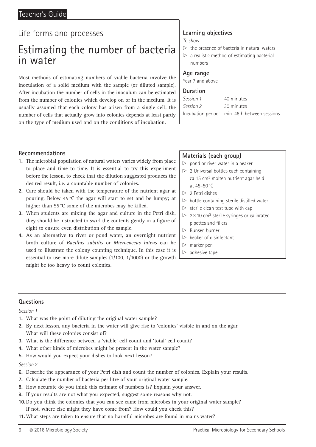#### Teacher's Guide

## Life forms and processes

## Estimating the number of bacteria in water

Most methods of estimating numbers of viable bacteria involve the inoculation of a solid medium with the sample (or diluted sample). After incubation the number of cells in the inoculum can be estimated from the number of colonies which develop on or in the medium. It is usually assumed that each colony has arisen from a single cell; the number of cells that actually grow into colonies depends at least partly on the type of medium used and on the conditions of incubation.

## **Learning objectives**

*To show:*

- $\triangleright$  the presence of bacteria in natural waters
- $\triangleright$  a realistic method of estimating bacterial numbers

#### **Age range**

Year 7 and above

#### **Duration**

| Session 1 | 40 minutes                                    |
|-----------|-----------------------------------------------|
| Session 2 | 30 minutes                                    |
|           | Incubation period: min. 48 h between sessions |

#### **Recommendations**

- **1.** The microbial population of natural waters varies widely from place to place and time to time. It is essential to try this experiment before the lesson, to check that the dilution suggested produces the desired result, i.e. a countable number of colonies.
- **2.** Care should be taken with the temperature of the nutrient agar at pouring. Below 45 °C the agar will start to set and be lumpy; at higher than 55 °C some of the microbes may be killed.
- **3.** When students are mixing the agar and culture in the Petri dish, they should be instructed to swirl the contents gently in a figure of eight to ensure even distribution of the sample.
- **4.** As an alternative to river or pond water, an overnight nutrient broth culture of *Bacillus subtilis* or *Micrococcus luteus* can be used to illustrate the colony counting technique. In this case it is essential to use more dilute samples (1/100, 1/1000) or the growth might be too heavy to count colonies.

#### **Materials (each group)**

- $\triangleright$  pond or river water in a beaker
- $> 2$  Universal bottles each containing ca 15 cm3 molten nutrient agar held at 45–50 °C
- $> 2$  Petri dishes
- $\triangleright$  bottle containing sterile distilled water
- $\triangleright$  sterile clean test tube with cap
- $\triangleright$  2 × 10 cm<sup>3</sup> sterile syringes or calibrated pipettes and fillers
- $\triangleright$  Bunsen burner
- $\triangleright$  beaker of disinfectant
- $\triangleright$  marker pen
- $\triangleright$  adhesive tape

#### **Questions**

#### *Session 1*

- **1.** What was the point of diluting the original water sample?
- **2.** By next lesson, any bacteria in the water will give rise to 'colonies' visible in and on the agar. What will these colonies consist of?
- **3.** What is the difference between a 'viable' cell count and 'total' cell count?
- **4.** What other kinds of microbes might be present in the water sample?
- **5.** How would you expect your dishes to look next lesson?

- **6.** Describe the appearance of your Petri dish and count the number of colonies. Explain your results.
- **7.** Calculate the number of bacteria per litre of your original water sample.
- **8.** How accurate do you think this estimate of numbers is? Explain your answer.
- **9.** If your results are not what you expected, suggest some reasons why not.
- **10.**Do you think the colonies that you can see came from microbes in your original water sample? If not, where else might they have come from? How could you check this?
- **11.** What steps are taken to ensure that no harmful microbes are found in mains water?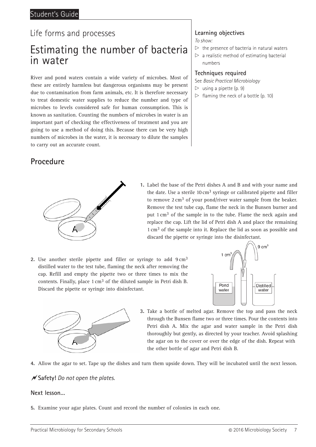## Estimating the number of bacteria in water

River and pond waters contain a wide variety of microbes. Most of these are entirely harmless but dangerous organisms may be present due to contamination from farm animals, etc. It is therefore necessary to treat domestic water supplies to reduce the number and type of microbes to levels considered safe for human consumption. This is known as sanitation. Counting the numbers of microbes in water is an important part of checking the effectiveness of treatment and you are going to use a method of doing this. Because there can be very high numbers of microbes in the water, it is necessary to dilute the samples to carry out an accurate count.

### **Procedure**



*To show:*

- $\triangleright$  the presence of bacteria in natural waters
- $\triangleright$  a realistic method of estimating bacterial numbers

#### **Techniques required**

See *Basic Practical Microbiology*

- $\triangleright$  using a pipette (p. 9)
- $\triangleright$  flaming the neck of a bottle (p. 10)



**1.** Label the base of the Petri dishes A and B and with your name and the date. Use a sterile  $10 \text{ cm}^3$  syringe or calibrated pipette and filler to remove  $2 \text{ cm}^3$  of your pond/river water sample from the beaker. Remove the test tube cap, flame the neck in the Bunsen burner and put 1 cm3 of the sample in to the tube. Flame the neck again and replace the cap. Lift the lid of Petri dish A and place the remaining 1 cm3 of the sample into it. Replace the lid as soon as possible and discard the pipette or syringe into the disinfectant.

**2.** Use another sterile pipette and filler or syringe to add 9 cm3 distilled water to the test tube, flaming the neck after removing the cap. Refill and empty the pipette two or three times to mix the contents. Finally, place 1 cm3 of the diluted sample in Petri dish B. Discard the pipette or syringe into disinfectant.





**3.** Take a bottle of melted agar. Remove the top and pass the neck through the Bunsen flame two or three times. Pour the contents into Petri dish A. Mix the agar and water sample in the Petri dish thoroughly but gently, as directed by your teacher. Avoid splashing the agar on to the cover or over the edge of the dish. Repeat with the other bottle of agar and Petri dish B.

**4.** Allow the agar to set. Tape up the dishes and turn them upside down. They will be incubated until the next lesson.

#### **Safety!** *Do not open the plates.*

#### **Next lesson…**

**5.** Examine your agar plates. Count and record the number of colonies in each one.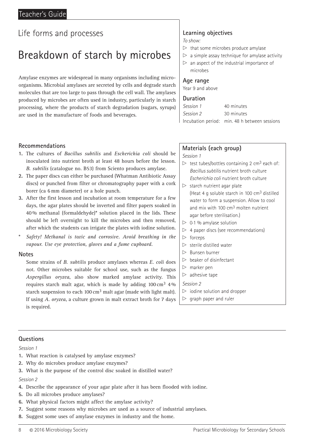## Breakdown of starch by microbes

Amylase enzymes are widespread in many organisms including microorganisms. Microbial amylases are secreted by cells and degrade starch molecules that are too large to pass through the cell wall. The amylases produced by microbes are often used in industry, particularly in starch processing, where the products of starch degradation (sugars, syrups) are used in the manufacture of foods and beverages.

#### **Recommendations**

- **1.** The cultures of *Bacillus subtilis* and *Escherichia coli* should be inoculated into nutrient broth at least 48 hours before the lesson. *B. subtilis* (catalogue no. B53) from Sciento produces amylase.
- **2.** The paper discs can either be purchased (Whatman Antibiotic Assay discs) or punched from filter or chromatography paper with a cork borer (ca 6 mm diameter) or a hole punch.
- **3.** After the first lesson and incubation at room temperature for a few days, the agar plates should be inverted and filter papers soaked in 40 % methanal (formaldehyde)\* solution placed in the lids. These should be left overnight to kill the microbes and then removed, after which the students can irrigate the plates with iodine solution.
- \* *Safety! Methanal is toxic and corrosive. Avoid breathing in the vapour. Use eye protection, gloves and a fume cupboard.*

#### **Notes**

Some strains of *B. subtilis* produce amylases whereas *E. coli* does not. Other microbes suitable for school use, such as the fungus *Aspergillus oryzea*, also show marked amylase activity. This requires starch malt agar, which is made by adding  $100 \text{ cm}^3$  4% starch suspension to each 100  $\text{cm}^3$  malt agar (made with light malt). If using *A. oryzea*, a culture grown in malt extract broth for 7 days is required.

### **Learning objectives**

*To show:*

- $\triangleright$  that some microbes produce amylase
- $\triangleright$  a simple assay technique for amylase activity
- $\triangleright$  an aspect of the industrial importance of microbes

#### **Age range**

Year 9 and above

#### **Duration**

| Session 1 | 40 minutes                                    |
|-----------|-----------------------------------------------|
| Session 2 | 30 minutes                                    |
|           | Incubation period: min. 48 h between sessions |

#### **Materials (each group)**

*Session 1*

- $\triangleright$  test tubes/bottles containing 2 cm<sup>3</sup> each of: *Bacillus subtilis* nutrient broth culture *Escherichia coli* nutrient broth culture
- $\triangleright$  starch nutrient agar plate (Heat 4 g soluble starch in 100 cm3 distilled water to form a suspension. Allow to cool and mix with 100 cm3 molten nutrient agar before sterilisation.)
- $> 0.1$ % amylase solution
- $>$  4 paper discs (see recommendations)
- $\triangleright$  forceps
- $\triangleright$  sterile distilled water
- $\triangleright$  Bunsen burner
- $\triangleright$  beaker of disinfectant
- $\triangleright$  marker pen
- $\triangleright$  adhesive tape

*Session 2*

- $\triangleright$  iodine solution and dropper
- $\triangleright$  graph paper and ruler

#### **Questions**

*Session 1*

- **1.** What reaction is catalysed by amylase enzymes?
- **2.** Why do microbes produce amylase enzymes?
- **3.** What is the purpose of the control disc soaked in distilled water?

- **4.** Describe the appearance of your agar plate after it has been flooded with iodine.
- **5.** Do all microbes produce amylases?
- **6.** What physical factors might affect the amylase activity?
- **7.** Suggest some reasons why microbes are used as a source of industrial amylases.
- **8.** Suggest some uses of amylase enzymes in industry and the home.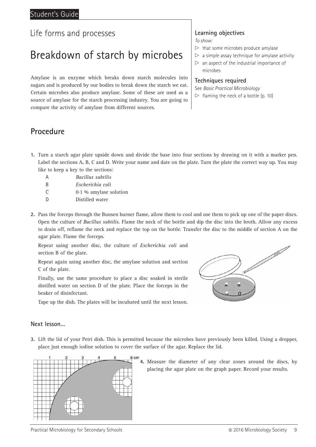## Breakdown of starch by microbes

Amylase is an enzyme which breaks down starch molecules into sugars and is produced by our bodies to break down the starch we eat. Certain microbes also produce amylase. Some of these are used as a source of amylase for the starch processing industry. You are going to compare the activity of amylase from different sources.

### **Procedure**

- **1.** Turn a starch agar plate upside down and divide the base into four sections by drawing on it with a marker pen. Label the sections A, B, C and D. Write your name and date on the plate. Turn the plate the correct way up. You may like to keep a key to the sections:
	- A *Bacillus subtilis*
	- B *Escherichia coli*
	- C  $0.1\%$  amylase solution
	- D Distilled water
- **2.** Pass the forceps through the Bunsen burner flame, allow them to cool and use them to pick up one of the paper discs. Open the culture of *Bacillus subtilis*. Flame the neck of the bottle and dip the disc into the broth. Allow any excess to drain off, reflame the neck and replace the top on the bottle. Transfer the disc to the middle of section A on the agar plate. Flame the forceps.

Repeat using another disc, the culture of *Escherichia coli* and section B of the plate.

Repeat again using another disc, the amylase solution and section C of the plate.

Finally, use the same procedure to place a disc soaked in sterile distilled water on section D of the plate. Place the forceps in the beaker of disinfectant.

Tape up the dish. The plates will be incubated until the next lesson.

#### **Next lesson…**

**3.** Lift the lid of your Petri dish. This is permitted because the microbes have previously been killed. Using a dropper, place just enough iodine solution to cover the surface of the agar. Replace the lid.



**4.** Measure the diameter of any clear zones around the discs, by placing the agar plate on the graph paper. Record your results.

ы

### **Learning objectives**

*To show:*

- $\triangleright$  that some microbes produce amylase
- $\triangleright$  a simple assay technique for amylase activity  $\triangleright$  an aspect of the industrial importance of
- microbes

#### **Techniques required**

See *Basic Practical Microbiology*

 $\triangleright$  flaming the neck of a bottle (p. 10)

 $\frac{11111}{2}$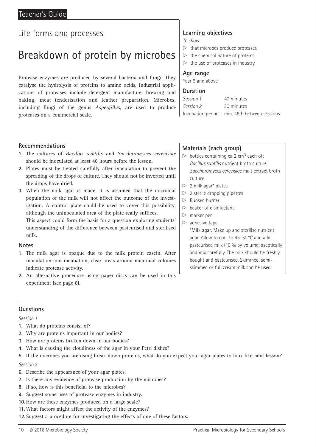## Breakdown of protein by microbes

Protease enzymes are produced by several bacteria and fungi. They catalyse the hydrolysis of proteins to amino acids. Industrial applications of proteases include detergent manufacture, brewing and baking, meat tenderisation and leather preparation. Microbes, including fungi of the genus *Aspergillus*, are used to produce proteases on a commercial scale.

#### **Recommendations**

- **1.** The cultures of *Bacillus subtilis* and *Saccharomyces cerevisiae* should be inoculated at least 48 hours before the lesson.
- **2.** Plates must be treated carefully after inoculation to prevent the spreading of the drops of culture. They should not be inverted until the drops have dried.
- **3.** When the milk agar is made, it is assumed that the microbial population of the milk will not affect the outcome of the investigation. A control plate could be used to cover this possibility, although the uninoculated area of the plate really suffices.

This aspect could form the basis for a question exploring students' understanding of the difference between pasteurised and sterilised milk.

#### **Notes**

- **1.** The milk agar is opaque due to the milk protein casein. After inoculation and incubation, clear areas around microbial colonies indicate protease activity.
- **2.** An alternative procedure using paper discs can be used in this experiment (see page 8).

### **Learning objectives**

*To show:*

- $\triangleright$  that microbes produce proteases
- $\triangleright$  the chemical nature of proteins
- $\triangleright$  the use of proteases in industry

#### **Age range**

Year 9 and above

#### **Duration**

| Session 1 | 40 minutes                                    |
|-----------|-----------------------------------------------|
| Session 2 | 30 minutes                                    |
|           | Incubation period: min. 48 h between sessions |

#### **Materials (each group)**

- $\triangleright$  bottles containing ca 2 cm<sup>3</sup> each of: *Bacillus subtilis* nutrient broth culture *Saccharomyces cerevisiae* malt extract broth culture
- $\triangleright$  2 milk agar\* plates
- $\triangleright$  2 sterile dropping pipettes
- $\triangleright$  Bunsen burner
- $\triangleright$  beaker of disinfectant
- $\triangleright$  marker pen
- $\triangleright$  adhesive tape

\*Milk agar. Make up and sterilise nutrient agar. Allow to cool to 45–50 °C and add pasteurised milk (10 % by volume) aseptically and mix carefully. The milk should be freshly bought and pasteurised. Skimmed, semiskimmed or full cream milk can be used.

#### **Questions**

- **1.** What do proteins consist of?
- **2.** Why are proteins important in our bodies?
- **3.** How are proteins broken down in our bodies?
- **4.** What is causing the cloudiness of the agar in your Petri dishes?
- **5.** If the microbes you are using break down proteins, what do you expect your agar plates to look like next lesson? *Session 2*
- **6.** Describe the appearance of your agar plates.
- **7.** Is there any evidence of protease production by the microbes?
- **8.** If so, how is this beneficial to the microbes?
- **9.** Suggest some uses of protease enzymes in industry.
- **10.**How are these enzymes produced on a large scale?
- **11.** What factors might affect the activity of the enzymes?
- **12.**Suggest a procedure for investigating the effects of one of these factors.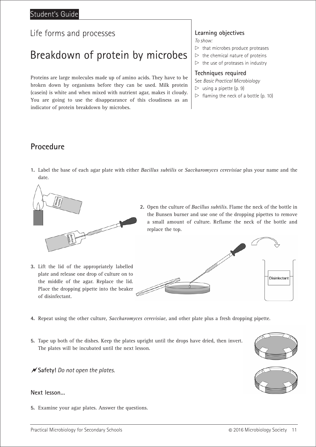### Student's Guide

### Life forms and processes

## Breakdown of protein by microbes

Proteins are large molecules made up of amino acids. They have to be broken down by organisms before they can be used. Milk protein (casein) is white and when mixed with nutrient agar, makes it cloudy. You are going to use the disappearance of this cloudiness as an indicator of protein breakdown by microbes.

## **Learning objectives**

*To show:*

- $\triangleright$  that microbes produce proteases
- $\triangleright$  the chemical nature of proteins
- $\triangleright$  the use of proteases in industry

#### **Techniques required**

See *Basic Practical Microbiology*

- $\triangleright$  using a pipette (p. 9)
- $\triangleright$  flaming the neck of a bottle (p. 10)

### **Procedure**

**1.** Label the base of each agar plate with either *Bacillus subtilis* or *Saccharomyces cerevisiae* plus your name and the date.



- **3.** Lift the lid of the appropriately labelled plate and release one drop of culture on to the middle of the agar. Replace the lid. Place the dropping pipette into the beaker of disinfectant.
- **2.** Open the culture of *Bacillus subtilis*. Flame the neck of the bottle in the Bunsen burner and use one of the dropping pipettes to remove a small amount of culture. Reflame the neck of the bottle and replace the top.



- **4.** Repeat using the other culture, *Saccharomyces cerevisiae,* and other plate plus a fresh dropping pipette.
- **5.** Tape up both of the dishes. Keep the plates upright until the drops have dried, then invert. The plates will be incubated until the next lesson.

**Safety!** *Do not open the plates.*

#### **Next lesson…**

**5.** Examine your agar plates. Answer the questions.



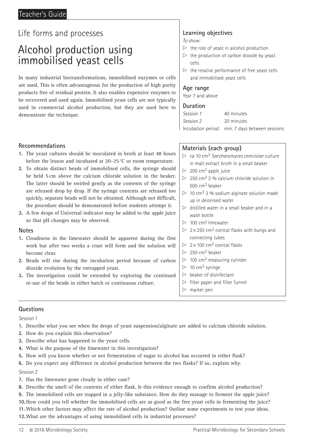## Alcohol production using immobilised yeast cells

In many industrial biotransformations, immobilised enzymes or cells are used. This is often advantageous for the production of high purity products free of residual protein. It also enables expensive enzymes to be recovered and used again. Immobilised yeast cells are not typically used in commercial alcohol production, but they are used here to demonstrate the technique.

#### **Recommendations**

- **1.** The yeast cultures should be inoculated in broth at least 48 hours before the lesson and incubated at 20–25 °C or room temperature.
- **2.** To obtain distinct beads of immobilised cells, the syringe should be held 5 cm above the calcium chloride solution in the beaker. The latter should be swirled gently as the contents of the syringe are released drop by drop. If the syringe contents are released too quickly, separate beads will not be obtained. Although not difficult, the procedure should be demonstrated before students attempt it.
- **3.** A few drops of Universal indicator may be added to the apple juice so that pH changes may be observed.

#### **Notes**

- **1.** Cloudiness in the limewater should be apparent during the first week but after two weeks a crust will form and the solution will become clear.
- **2.** Beads will rise during the incubation period because of carbon dioxide evolution by the entrapped yeast.
- **3.** The investigation could be extended by exploring the continued re-use of the beads in either batch or continuous culture.

## **Learning objectives**

*To show:*

- $\triangleright$  the role of yeast in alcohol production
- $\triangleright$  the production of carbon dioxide by yeast cells
- $\triangleright$  the relative performance of free yeast cells and immobilised yeast cells

#### **Age range**

Year 7 and above

#### **Duration**

| Session 1 | 40 minutes                                      |
|-----------|-------------------------------------------------|
| Session 2 | 20 minutes                                      |
|           | Incubation period: min. 7 days between sessions |

#### **Materials (each group)**

- $\triangleright$  ca 10 cm<sup>3</sup> Saccharomyces cerevisiae culture in malt extract broth in a small beaker
- $> 200$  cm<sup>3</sup> apple juice
- $\geq 250$  cm<sup>3</sup> 2 % calcium chloride solution in 500 cm3 beaker
- $> 10$  cm<sup>3</sup> 3 % sodium alginate solution made up in deionised water
- $\triangleright$  distilled water in a small beaker and in a wash bottle
- $> 100$  cm<sup>3</sup> limewater
- $\triangleright$  2 × 250 cm<sup>3</sup> conical flasks with bungs and connecting tubes
- $\triangleright$  2 × 100 cm<sup>3</sup> conical flasks
- $> 250$  cm<sup>3</sup> beaker
- $\triangleright$  100 cm<sup>3</sup> measuring cylinder
- $> 10$  cm<sup>3</sup> syringe
- $\triangleright$  beaker of disinfectant
- $\triangleright$  filter paper and filter funnel
- $\triangleright$  marker pen

#### **Questions**

*Session 1*

- **1.** Describe what you see when the drops of yeast suspension/alginate are added to calcium chloride solution.
- **2.** How do you explain this observation?
- **3.** Describe what has happened to the yeast cells.
- **4.** What is the purpose of the limewater in this investigation?
- **5.** How will you know whether or not fermentation of sugar to alcohol has occurred in either flask?
- **6.** Do you expect any difference in alcohol production between the two flasks? If so, explain why.

#### *Session 2*

- **7.** Has the limewater gone cloudy in either case?
- **8.** Describe the smell of the contents of either flask. Is this evidence enough to confirm alcohol production?
- **9.** The immobilised cells are trapped in a jelly-like substance. How do they manage to ferment the apple juice?

**10.**How could you tell whether the immobilised cells are as good as the free yeast cells in fermenting the juice?

**11.** Which other factors may affect the rate of alcohol production? Outline some experiments to test your ideas.

**12.**What are the advantages of using immobilised cells in industrial processes?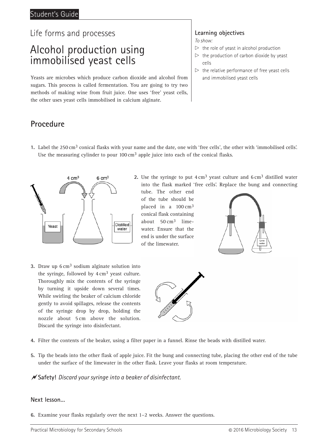## Alcohol production using immobilised yeast cells

Yeasts are microbes which produce carbon dioxide and alcohol from sugars. This process is called fermentation. You are going to try two methods of making wine from fruit juice. One uses 'free' yeast cells, the other uses yeast cells immobilised in calcium alginate.

### **Procedure**

### **Learning objectives**

*To show:*

- $\triangleright$  the role of yeast in alcohol production
- $\triangleright$  the production of carbon dioxide by yeast cells
- $\triangleright$  the relative performance of free yeast cells and immobilised yeast cells

**1.** Label the 250 cm3 conical flasks with your name and the date, one with 'free cells', the other with 'immobilised cells'. Use the measuring cylinder to pour 100 cm<sup>3</sup> apple juice into each of the conical flasks.



**2.** Use the syringe to put  $4 \text{ cm}^3$  yeast culture and  $6 \text{ cm}^3$  distilled water into the flask marked 'free cells'. Replace the bung and connecting

tube. The other end of the tube should be placed in a 100 cm3 conical flask containing about 50 cm3 limewater. Ensure that the end is under the surface of the limewater.



**3.** Draw up 6 cm3 sodium alginate solution into the syringe, followed by  $4 \text{ cm}^3$  yeast culture. Thoroughly mix the contents of the syringe by turning it upside down several times. While swirling the beaker of calcium chloride gently to avoid spillages, release the contents of the syringe drop by drop, holding the nozzle about 5 cm above the solution. Discard the syringe into disinfectant.



- **4.** Filter the contents of the beaker, using a filter paper in a funnel. Rinse the beads with distilled water.
- **5.** Tip the beads into the other flask of apple juice. Fit the bung and connecting tube, placing the other end of the tube under the surface of the limewater in the other flask. Leave your flasks at room temperature.

**Safety!** *Discard your syringe into a beaker of disinfectant.*

#### **Next lesson…**

**6.** Examine your flasks regularly over the next 1–2 weeks. Answer the questions.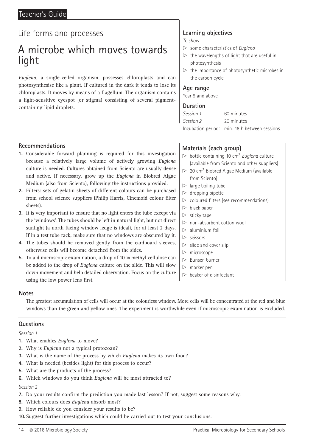## A microbe which moves towards light

*Euglena*, a single-celled organism, possesses chloroplasts and can photosynthesise like a plant. If cultured in the dark it tends to lose its chloroplasts. It moves by means of a flagellum. The organism contains a light-sensitive eyespot (or stigma) consisting of several pigmentcontaining lipid droplets.

## **Learning objectives**

*To show:*

- $\triangleright$  some characteristics of *Euglena*
- $\triangleright$  the wavelengths of light that are useful in photosynthesis
- $\triangleright$  the importance of photosynthetic microbes in the carbon cycle

#### **Age range**

Year 9 and above

#### **Duration**

| Session 1 | 60 minutes                                    |
|-----------|-----------------------------------------------|
| Session 2 | 20 minutes                                    |
|           | Incubation period: min. 48 h between sessions |

#### **Recommendations**

- **1.** Considerable forward planning is required for this investigation because a relatively large volume of actively growing *Euglena* culture is needed. Cultures obtained from Sciento are usually dense and active. If necessary, grow up the *Euglena* in Biobred Algae Medium (also from Sciento), following the instructions provided.
- **2.** Filters: sets of gelatin sheets of different colours can be purchased from school science suppliers (Philip Harris, Cinemoid colour filter sheets).
- **3.** It is very important to ensure that no light enters the tube except via the 'windows'. The tubes should be left in natural light, but not direct sunlight (a north facing window ledge is ideal), for at least 2 days. If in a test tube rack, make sure that no windows are obscured by it.
- **4.** The tubes should be removed gently from the cardboard sleeves, otherwise cells will become detached from the sides.
- **5.** To aid microscopic examination, a drop of 10 % methyl cellulose can be added to the drop of *Euglena* culture on the slide. This will slow down movement and help detailed observation. Focus on the culture using the low power lens first.

#### **Materials (each group)**

- $\triangleright$  bottle containing 10 cm<sup>3</sup> *Euglena* culture (available from Sciento and other suppliers)
- $> 20$  cm<sup>3</sup> Biobred Algae Medium (available from Sciento)
- $\triangleright$  large boiling tube
- $\triangleright$  dropping pipette
- $\triangleright$  coloured filters (see recommendations)
- $\triangleright$  black paper
- $\triangleright$  sticky tape
- $\triangleright$  non-absorbent cotton wool
- $\triangleright$  aluminium foil
- $\triangleright$  scissors
- $\triangleright$  slide and cover slip
- $\triangleright$  microscope
- $\triangleright$  Bunsen burner
- $\triangleright$  marker pen
- $\triangleright$  beaker of disinfectant

#### **Notes**

The greatest accumulation of cells will occur at the colourless window. More cells will be concentrated at the red and blue windows than the green and yellow ones. The experiment is worthwhile even if microscopic examination is excluded.

#### **Questions**

*Session 1*

- **1.** What enables *Euglena* to move?
- **2.** Why is *Euglena* not a typical protozoan?
- **3.** What is the name of the process by which *Euglena* makes its own food?
- **4.** What is needed (besides light) for this process to occur?
- **5.** What are the products of the process?
- **6.** Which windows do you think *Euglena* will be most attracted to?

- **7.** Do your results confirm the prediction you made last lesson? If not, suggest some reasons why.
- **8.** Which colours does *Euglena* absorb most?
- **9.** How reliable do you consider your results to be?
- **10.** Suggest further investigations which could be carried out to test your conclusions.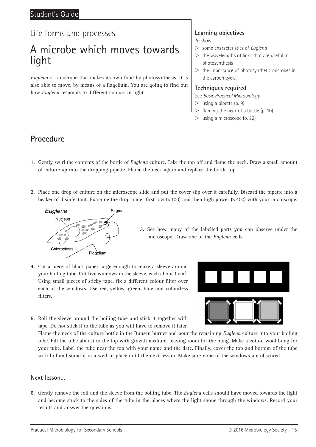## A microbe which moves towards light

*Euglena* is a microbe that makes its own food by photosynthesis. It is also able to move, by means of a flagellum. You are going to find out how *Euglena* responds to different colours in light.

### **Learning objectives**

*To show:*

- x some characteristics of *Euglena*
- $\triangleright$  the wavelengths of light that are useful in photosynthesis
- $\triangleright$  the importance of photosynthetic microbes in the carbon cycle

#### **Techniques required**

See *Basic Practical Microbiology*

- $\triangleright$  using a pipette (p. 9)
- $\triangleright$  flaming the neck of a bottle (p. 10)
- $\triangleright$  using a microscope (p. 22)

### **Procedure**

- **1.** Gently swirl the contents of the bottle of *Euglena* culture. Take the top off and flame the neck. Draw a small amount of culture up into the dropping pipette. Flame the neck again and replace the bottle top.
- **2.** Place one drop of culture on the microscope slide and put the cover slip over it carefully. Discard the pipette into a beaker of disinfectant. Examine the drop under first low  $(x 100)$  and then high power  $(x 400)$  with your microscope.



- **3.** See how many of the labelled parts you can observe under the microscope. Draw one of the *Euglena* cells.
- **4.** Cut a piece of black paper large enough to make a sleeve around your boiling tube. Cut five windows in the sleeve, each about 1 cm2. Using small pieces of sticky tape, fix a different colour filter over each of the windows. Use red, yellow, green, blue and colourless filters.



**5.** Roll the sleeve around the boiling tube and stick it together with tape. Do not stick it to the tube as you will have to remove it later.

Flame the neck of the culture bottle in the Bunsen burner and pour the remaining *Euglena* culture into your boiling tube. Fill the tube almost to the top with growth medium, leaving room for the bung. Make a cotton wool bung for your tube. Label the tube near the top with your name and the date. Finally, cover the top and bottom of the tube with foil and stand it in a well-lit place until the next lesson. Make sure none of the windows are obscured.

#### **Next lesson…**

**6.** Gently remove the foil and the sleeve from the boiling tube. The *Euglena* cells should have moved towards the light and become stuck to the sides of the tube in the places where the light shone through the windows. Record your results and answer the questions.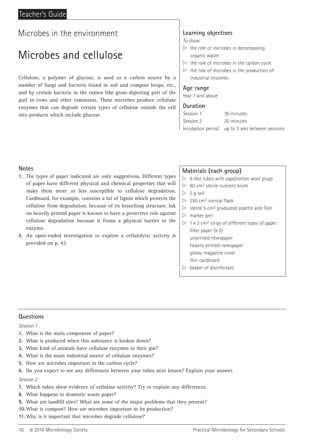## Microbes and cellulose

Cellulose, a polymer of glucose, is used as a carbon source by a number of fungi and bacteria found in soil and compost heaps, etc., and by certain bacteria in the rumen (the grass-digesting part of the gut) in cows and other ruminants. These microbes produce cellulase enzymes that can degrade certain types of cellulose outside the cell into products which include glucose.

## **Learning objectives**

*To show:*

- $\triangleright$  the role of microbes in decomposing organic waste
- $\triangleright$  the role of microbes in the carbon cycle
- $\triangleright$  the role of microbes in the production of industrial enzymes

#### **Age range**

Year 7 and above

#### **Duration**

| Session 1 | 30 minutes                                      |
|-----------|-------------------------------------------------|
| Session 2 | 20 minutes                                      |
|           | Incubation period: up to 3 wks between sessions |

#### **Notes**

- **1.** The types of paper indicated are only suggestions. Different types of paper have different physical and chemical properties that will make them more or less susceptible to cellulose degradation. Cardboard, for example, contains a lot of lignin which protects the cellulose from degradation, because of its branching structure. Ink on heavily printed paper is known to have a protective role against cellulose degradation because it forms a physical barrier to the enzyme.
- **2.** An open-ended investigation to explore a cellulolytic activity is provided on p. 42.

#### **Materials (each group)**

- $> 6$  test tubes with caps/cotton wool plugs
- $> 60$  cm<sup>3</sup> sterile nutrient broth
- $> 5$  a soil
- $\triangleright$  250 cm<sup>3</sup> conical flask
- $\triangleright$  sterile 5 cm<sup>3</sup> graduated pipette and filler
- $\triangleright$  marker pen
- $\triangleright$  1 × 2 cm<sup>2</sup> strips of different types of paper: filter paper  $(x 2)$ unprinted newspaper heavily printed newspaper glossy magazine cover
	- thin cardboard
- $\triangleright$  beaker of disinfectant

#### **Questions**

#### *Session 1*

- **1.** What is the main component of paper?
- **2.** What is produced when this substance is broken down?
- **3.** What kind of animals have cellulase enzymes in their gut?
- **4.** What is the main industrial source of cellulase enzymes?
- **5.** How are microbes important in the carbon cycle?
- **6.** Do you expect to see any differences between your tubes next lesson? Explain your answer.

- **7.** Which tubes show evidence of cellulase activity? Try to explain any differences.
- **8.** What happens to domestic waste paper?
- **9.** What are landfill sites? What are some of the major problems that they present?
- **10.**What is compost? How are microbes important in its production?
- **11.** Why is it important that microbes degrade cellulose?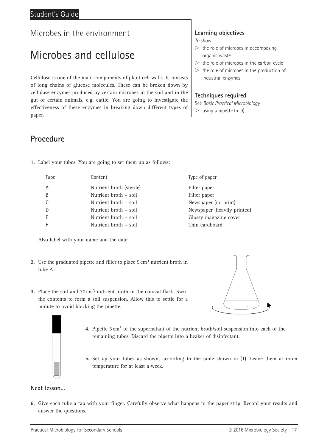## Microbes and cellulose

Cellulose is one of the main components of plant cell walls. It consists of long chains of glucose molecules. These can be broken down by cellulase enzymes produced by certain microbes in the soil and in the gut of certain animals, e.g. cattle. You are going to investigate the effectiveness of these enzymes in breaking down different types of paper.

### **Procedure**

| Tube | Content                  | Type of paper               |
|------|--------------------------|-----------------------------|
| A    | Nutrient broth (sterile) | Filter paper                |
| B    | Nutrient broth $+$ soil  | Filter paper                |
|      | Nutrient broth $+$ soil  | Newspaper (no print)        |
|      | Nutrient broth $+$ soil  | Newspaper (heavily printed) |
|      | Nutrient broth $+$ soil  | Glossy magazine cover       |
|      | Nutrient broth $+$ soil  | Thin cardboard              |

**1.** Label your tubes. You are going to set them up as follows:

Also label with your name and the date.

- **2.** Use the graduated pipette and filler to place 5 cm<sup>3</sup> nutrient broth in tube A.
- **3.** Place the soil and 30 cm3 nutrient broth in the conical flask. Swirl the contents to form a soil suspension. Allow this to settle for a minute to avoid blocking the pipette.



- **4.** Pipette 5 cm3 of the supernatant of the nutrient broth/soil suspension into each of the remaining tubes. Discard the pipette into a beaker of disinfectant.
- **5.** Set up your tubes as shown, according to the table shown in (1). Leave them at room temperature for at least a week.

#### **Next lesson…**

**6.** Give each tube a tap with your finger. Carefully observe what happens to the paper strip. Record your results and answer the questions.

*To show:*

- $\triangleright$  the role of microbes in decomposing organic waste
- $\triangleright$  the role of microbes in the carbon cycle
- $\triangleright$  the role of microbes in the production of industrial enzymes

#### **Techniques required**

See *Basic Practical Microbiology*  $\triangleright$  using a pipette (p. 9)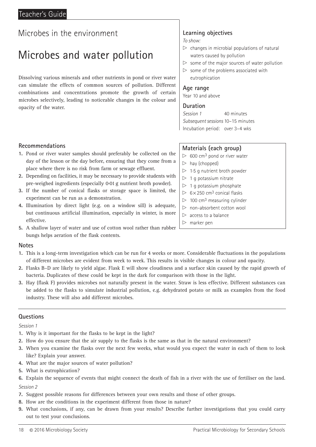## Microbes and water pollution

Dissolving various minerals and other nutrients in pond or river water can simulate the effects of common sources of pollution. Different combinations and concentrations promote the growth of certain microbes selectively, leading to noticeable changes in the colour and opacity of the water.

### **Learning objectives**

*To show:*

- $\triangleright$  changes in microbial populations of natural waters caused by pollution
- $\triangleright$  some of the major sources of water pollution
- $\triangleright$  some of the problems associated with eutrophication

#### **Age range**

Year 10 and above

#### **Duration**

*Session 1* 40 minutes *Subsequent sessions* 10–15 minutes Incubation period: over 3–4 wks

**Materials (each group)**  $> 600$  cm<sup>3</sup> pond or river water

 $> 1.5$  g nutrient broth powder  $> 1$  g potassium nitrate  $> 1$  g potassium phosphate  $> 6 \times 250$  cm<sup>3</sup> conical flasks  $\triangleright$  100 cm<sup>3</sup> measuring cylinder  $\triangleright$  non-absorbent cotton wool

 $\triangleright$  hay (chopped)

 $\triangleright$  access to a balance

 $\triangleright$  marker pen

#### **Recommendations**

- **1.** Pond or river water samples should preferably be collected on the day of the lesson or the day before, ensuring that they come from a place where there is no risk from farm or sewage effluent.
- **2.** Depending on facilities, it may be necessary to provide students with pre-weighed ingredients (especially 0.01 g nutrient broth powder).
- **3.** If the number of conical flasks or storage space is limited, the experiment can be run as a demonstration.
- **4.** Illumination by direct light (e.g. on a window sill) is adequate, but continuous artificial illumination, especially in winter, is more effective.
- **5.** A shallow layer of water and use of cotton wool rather than rubber bungs helps aeration of the flask contents.

#### **Notes**

- **1.** This is a long-term investigation which can be run for 4 weeks or more. Considerable fluctuations in the populations of different microbes are evident from week to week. This results in visible changes in colour and opacity.
- **2.** Flasks B–D are likely to yield algae. Flask E will show cloudiness and a surface skin caused by the rapid growth of bacteria. Duplicates of these could be kept in the dark for comparison with those in the light.
- **3.** Hay (flask F) provides microbes not naturally present in the water. Straw is less effective. Different substances can be added to the flasks to simulate industrial pollution, e.g. dehydrated potato or milk as examples from the food industry. These will also add different microbes.

#### **Questions**

- **1.** Why is it important for the flasks to be kept in the light?
- **2.** How do you ensure that the air supply to the flasks is the same as that in the natural environment?
- **3.** When you examine the flasks over the next few weeks, what would you expect the water in each of them to look like? Explain your answer.
- **4.** What are the major sources of water pollution?
- **5.** What is eutrophication?
- **6.** Explain the sequence of events that might connect the death of fish in a river with the use of fertiliser on the land. *Session 2*
- **7.** Suggest possible reasons for differences between your own results and those of other groups.
- **8.** How are the conditions in the experiment different from those in nature?
- **9.** What conclusions, if any, can be drawn from your results? Describe further investigations that you could carry out to test your conclusions.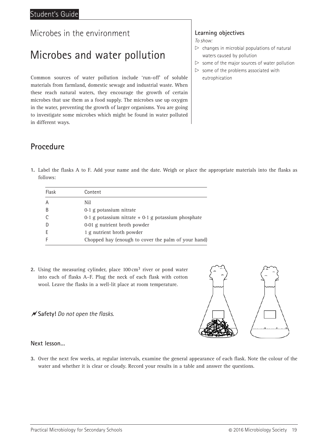## Microbes and water pollution

Common sources of water pollution include 'run-off' of soluble materials from farmland, domestic sewage and industrial waste. When these reach natural waters, they encourage the growth of certain microbes that use them as a food supply. The microbes use up oxygen in the water, preventing the growth of larger organisms. You are going to investigate some microbes which might be found in water polluted in different ways.

#### **Learning objectives**

*To show:*

- $\triangleright$  changes in microbial populations of natural waters caused by pollution
- $\triangleright$  some of the major sources of water pollution
- $\triangleright$  some of the problems associated with eutrophication

## **Procedure**

**1.** Label the flasks A to F. Add your name and the date. Weigh or place the appropriate materials into the flasks as follows:

| Flask         | Content                                                 |
|---------------|---------------------------------------------------------|
| A             | Nil                                                     |
| B             | $0.1$ g potassium nitrate                               |
| $\mathcal{C}$ | $0.1$ g potassium nitrate + $0.1$ g potassium phosphate |
| - D           | 0.01 g nutrient broth powder                            |
| F             | 1 g nutrient broth powder                               |
|               | Chopped hay (enough to cover the palm of your hand)     |

2. Using the measuring cylinder, place 100 cm<sup>3</sup> river or pond water into each of flasks A–F. Plug the neck of each flask with cotton wool. Leave the flasks in a well-lit place at room temperature.

#### **Safety!** *Do not open the flasks.*



#### **Next lesson…**

**3.** Over the next few weeks, at regular intervals, examine the general appearance of each flask. Note the colour of the water and whether it is clear or cloudy. Record your results in a table and answer the questions.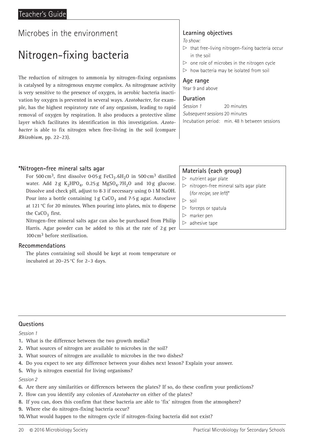## Nitrogen-fixing bacteria

The reduction of nitrogen to ammonia by nitrogen-fixing organisms is catalysed by a nitrogenous enzyme complex. As nitrogenase activity is very sensitive to the presence of oxygen, in aerobic bacteria inactivation by oxygen is prevented in several ways. *Azotobacter*, for example, has the highest respiratory rate of any organism, leading to rapid removal of oxygen by respiration. It also produces a protective slime layer which facilitates its identification in this investigation. *Azotobacter* is able to fix nitrogen when free-living in the soil (compare *Rhizobium*, pp. 22–23).

#### **\*Nitrogen-free mineral salts agar**

For 500 cm<sup>3</sup>, first dissolve 0.05 g FeCl<sub>3</sub>.6H<sub>2</sub>O in 500 cm<sup>3</sup> distilled water. Add 2 g  $K_2HPO_4$ , 0.25 g MgSO<sub>4</sub>.7H<sub>2</sub>O and 10 g glucose. Dissolve and check pH, adjust to 8.3 if necessary using 0.1 M NaOH. Pour into a bottle containing 1 g  $CaCO<sub>3</sub>$  and 7.5 g agar. Autoclave at 121 °C for 20 minutes. When pouring into plates, mix to disperse the  $CaCO<sub>3</sub>$  first.

Nitrogen-free mineral salts agar can also be purchased from Philip Harris. Agar powder can be added to this at the rate of 2 g per 100cm3 before sterilisation.

#### **Recommendations**

The plates containing soil should be kept at room temperature or incubated at 20–25 °C for 2–3 days.

### **Learning objectives**

*To show:*

- $\triangleright$  that free-living nitrogen-fixing bacteria occur in the soil
- $\triangleright$  one role of microbes in the nitrogen cycle
- $\triangleright$  how bacteria may be isolated from soil

#### **Age range**

Year 9 and above

#### **Duration**

*Session 1* 20 minutes *Subsequent sessions* 20 minutes Incubation period: min. 48 h between sessions

### **Materials (each group)**

- $\triangleright$  nutrient agar plate
- $\triangleright$  nitrogen-free mineral salts agar plate (*for recipe, see left*)\*
- $\triangleright$  soil
- $\triangleright$  forceps or spatula
- $\triangleright$  marker pen
- $\triangleright$  adhesive tape

#### **Questions**

*Session 1*

- **1.** What is the difference between the two growth media?
- **2.** What sources of nitrogen are available to microbes in the soil?
- **3.** What sources of nitrogen are available to microbes in the two dishes?
- **4.** Do you expect to see any difference between your dishes next lesson? Explain your answer.
- **5.** Why is nitrogen essential for living organisms?

- **6.** Are there any similarities or differences between the plates? If so, do these confirm your predictions?
- **7.** How can you identify any colonies of *Azotobacter* on either of the plates?
- **8.** If you can, does this confirm that these bacteria are able to 'fix' nitrogen from the atmosphere?
- **9.** Where else do nitrogen-fixing bacteria occur?
- **10.**What would happen to the nitrogen cycle if nitrogen-fixing bacteria did not exist?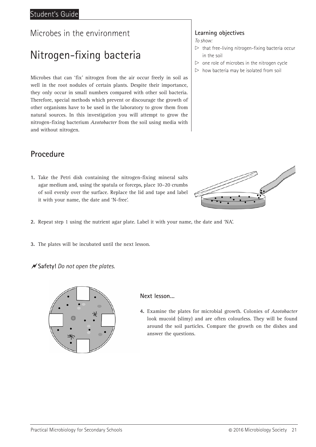### Student's Guide

### Microbes in the environment

## Nitrogen-fixing bacteria

Microbes that can 'fix' nitrogen from the air occur freely in soil as well in the root nodules of certain plants. Despite their importance, they only occur in small numbers compared with other soil bacteria. Therefore, special methods which prevent or discourage the growth of other organisms have to be used in the laboratory to grow them from natural sources. In this investigation you will attempt to grow the nitrogen-fixing bacterium *Azotobacter* from the soil using media with and without nitrogen.

### **Procedure**

- **1.** Take the Petri dish containing the nitrogen-fixing mineral salts agar medium and, using the spatula or forceps, place 10–20 crumbs of soil evenly over the surface. Replace the lid and tape and label it with your name, the date and 'N-free'.
- **2.** Repeat step 1 using the nutrient agar plate. Label it with your name, the date and 'NA'.
- **3.** The plates will be incubated until the next lesson.
- **Safety!** *Do not open the plates.*



#### **Next lesson…**

**4.** Examine the plates for microbial growth. Colonies of *Azotobacter* look mucoid (slimy) and are often colourless. They will be found around the soil particles. Compare the growth on the dishes and answer the questions.

#### **Learning objectives**

*To show:*

- $\triangleright$  that free-living nitrogen-fixing bacteria occur in the soil
- $\triangleright$  one role of microbes in the nitrogen cycle
- $\triangleright$  how bacteria may be isolated from soil

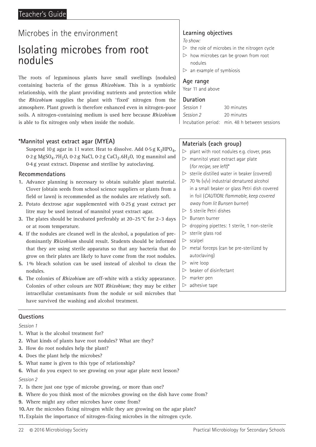### Teacher's Guide

## Microbes in the environment

## Isolating microbes from root nodules

The roots of leguminous plants have small swellings (nodules) containing bacteria of the genus *Rhizobium*. This is a symbiotic relationship, with the plant providing nutrients and protection while the *Rhizobium* supplies the plant with 'fixed' nitrogen from the atmosphere. Plant growth is therefore enhanced even in nitrogen-poor soils. A nitrogen-containing medium is used here because *Rhizobium* is able to fix nitrogen only when inside the nodule.

#### **\*Mannitol yeast extract agar (MYEA)**

Suspend 10 g agar in 11 water. Heat to dissolve. Add  $0.5 g K<sub>2</sub>HPO<sub>4</sub>$ , 0.2 g MgSO<sub>4</sub>.7H<sub>2</sub>O, 0.2 g NaCl, 0.2 g CaCl<sub>2</sub>.6H<sub>2</sub>O, 10 g mannitol and 0.4 g yeast extract. Dispense and sterilise by autoclaving.

#### **Recommendations**

- **1.** Advance planning is necessary to obtain suitable plant material. Clover (obtain seeds from school science suppliers or plants from a field or lawn) is recommended as the nodules are relatively soft.
- **2.** Potato dextrose agar supplemented with 0.25 g yeast extract per litre may be used instead of mannitol yeast extract agar.
- **3.** The plates should be incubated preferably at 20–25 °C for 2–3 days or at room temperature.
- **4.** If the nodules are cleaned well in the alcohol, a population of predominantly *Rhizobium* should result. Students should be informed that they are using sterile apparatus so that any bacteria that do grow on their plates are likely to have come from the root nodules.
- **5.** 1% bleach solution can be used instead of alcohol to clean the nodules.
- **6.** The colonies of *Rhizobium* are off-white with a sticky appearance. Colonies of other colours are NOT *Rhizobium*; they may be either intracellular contaminants from the nodule or soil microbes that have survived the washing and alcohol treatment.

#### **Questions**

*Session 1*

- **1.** What is the alcohol treatment for?
- **2.** What kinds of plants have root nodules? What are they?
- **3.** How do root nodules help the plant?
- **4.** Does the plant help the microbes?
- **5.** What name is given to this type of relationship?
- **6.** What do you expect to see growing on your agar plate next lesson?

#### *Session 2*

- **7.** Is there just one type of microbe growing, or more than one?
- **8.** Where do you think most of the microbes growing on the dish have come from?
- **9.** Where might any other microbes have come from?
- **10.**Are the microbes fixing nitrogen while they are growing on the agar plate?
- **11.** Explain the importance of nitrogen-fixing microbes in the nitrogen cycle.

## **Learning objectives**

*To show:*

- $\triangleright$  the role of microbes in the nitrogen cycle
- $\triangleright$  how microbes can be grown from root nodules
- $>$  an example of symbiosis

#### **Age range**

Year 11 and above

#### **Duration**

| Session 1 | 30 minutes                                    |
|-----------|-----------------------------------------------|
| Session 2 | 20 minutes                                    |
|           | Incubation period: min. 48 h between sessions |

#### **Materials (each group)**

- $\triangleright$  plant with root nodules e.g. clover, peas
- $\triangleright$  mannitol yeast extract agar plate (*for recipe, see left*)\*
- $\triangleright$  sterile distilled water in beaker (covered)
- $\triangleright$  70 % (v/v) industrial denatured alcohol in a small beaker or glass Petri dish covered in foil (*CAUTION: flammable, keep covered away from lit Bunsen burner*)
- $> 5$  sterile Petri dishes
- $\triangleright$  Bunsen burner
- $\triangleright$  dropping pipettes: 1 sterile, 1 non-sterile
- $\triangleright$  sterile glass rod
- $\triangleright$  scalpel
- $\triangleright$  metal forceps (can be pre-sterilized by autoclaving)
- $\triangleright$  wire loop
- $\triangleright$  beaker of disinfectant
- $\triangleright$  marker pen
- $\triangleright$  adhesive tape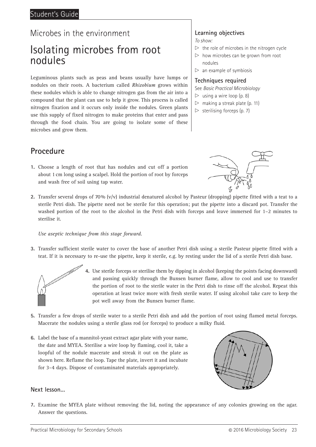## Isolating microbes from root nodules

Leguminous plants such as peas and beans usually have lumps or nodules on their roots. A bacterium called *Rhizobium* grows within these nodules which is able to change nitrogen gas from the air into a compound that the plant can use to help it grow. This process is called nitrogen fixation and it occurs only inside the nodules. Green plants use this supply of fixed nitrogen to make proteins that enter and pass through the food chain. You are going to isolate some of these microbes and grow them.

## **Procedure**

- **1.** Choose a length of root that has nodules and cut off a portion about 1 cm long using a scalpel. Hold the portion of root by forceps and wash free of soil using tap water.
- **2.** Transfer several drops of 70% (v/v) industrial denatured alcohol by Pasteur (dropping) pipette fitted with a teat to a sterile Petri dish. The pipette need not be sterile for this operation; put the pipette into a discard pot. Transfer the washed portion of the root to the alcohol in the Petri dish with forceps and leave immersed for 1–2 minutes to sterilise it.

#### *Use aseptic technique from this stage forward.*

**3.** Transfer sufficient sterile water to cover the base of another Petri dish using a sterile Pasteur pipette fitted with a teat. If it is necessary to re-use the pipette, keep it sterile, e.g. by resting under the lid of a sterile Petri dish base.



- **4.** Use sterile forceps or sterilise them by dipping in alcohol (keeping the points facing downward) and passing quickly through the Bunsen burner flame, allow to cool and use to transfer the portion of root to the sterile water in the Petri dish to rinse off the alcohol. Repeat this operation at least twice more with fresh sterile water. If using alcohol take care to keep the pot well away from the Bunsen burner flame.
- **5.** Transfer a few drops of sterile water to a sterile Petri dish and add the portion of root using flamed metal forceps. Macerate the nodules using a sterile glass rod (or forceps) to produce a milky fluid.
- **6.** Label the base of a mannitol-yeast extract agar plate with your name, the date and MYEA. Sterilise a wire loop by flaming, cool it, take a loopful of the nodule macerate and streak it out on the plate as shown here. Reflame the loop. Tape the plate, invert it and incubate for 3–4 days. Dispose of contaminated materials appropriately.



#### **Next lesson…**

**7.** Examine the MYEA plate without removing the lid, noting the appearance of any colonies growing on the agar. Answer the questions.

### **Learning objectives**

*To show:*

- $\triangleright$  the role of microbes in the nitrogen cycle
- $\triangleright$  how microbes can be grown from root nodules
- $\triangleright$  an example of symbiosis

#### **Techniques required**

See *Basic Practical Microbiology*

- $\triangleright$  using a wire loop (p. 8)
- $\triangleright$  making a streak plate (p. 11)
- $\triangleright$  sterilising forceps (p. 7)

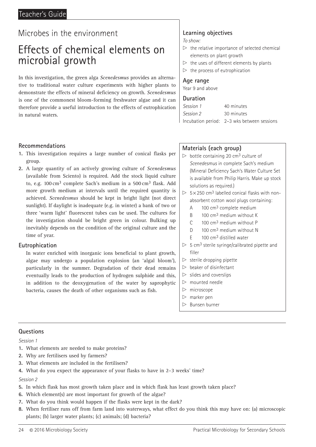## Effects of chemical elements on microbial growth

In this investigation, the green alga *Scenedesmus* provides an alternative to traditional water culture experiments with higher plants to demonstrate the effects of mineral deficiency on growth. *Scenedesmus* is one of the commonest bloom-forming freshwater algae and it can therefore provide a useful introduction to the effects of eutrophication in natural waters.

#### **Recommendations**

- **1.** This investigation requires a large number of conical flasks per group.
- **2.** A large quantity of an actively growing culture of *Scenedesmus* (available from Sciento) is required. Add the stock liquid culture to, e.g. 100 cm<sup>3</sup> complete Sach's medium in a 500 cm<sup>3</sup> flask. Add more growth medium at intervals until the required quantity is achieved. *Scenedesmus* should be kept in bright light (not direct sunlight). If daylight is inadequate (e.g. in winter) a bank of two or three 'warm light' fluorescent tubes can be used. The cultures for the investigation should be bright green in colour. Bulking up inevitably depends on the condition of the original culture and the time of year.

#### **Eutrophication**

In water enriched with inorganic ions beneficial to plant growth, algae may undergo a population explosion (an 'algal bloom'), particularly in the summer. Degradation of their dead remains eventually leads to the production of hydrogen sulphide and this, in addition to the deoxygenation of the water by saprophytic bacteria, causes the death of other organisms such as fish.

### **Learning objectives**

*To show:*

- $\triangleright$  the relative importance of selected chemical elements on plant growth
- $\triangleright$  the uses of different elements by plants
- $\triangleright$  the process of eutrophication

#### **Age range**

Year 9 and above

#### **Duration**

| Session 1 | 40 minutes                                  |
|-----------|---------------------------------------------|
| Session 2 | 30 minutes                                  |
|           | Incubation period: 2-3 wks between sessions |

#### **Materials (each group)**

- $\triangleright$  bottle containing 20 cm<sup>3</sup> culture of *Scenedesmus* in complete Sach's medium (Mineral Deficiency Sach's Water Culture Set is available from Philip Harris. Make up stock solutions as required.)
- $> 5 \times 250$  cm<sup>3</sup> labelled conical flasks with nonabsorbent cotton wool plugs containing:
	- A 100 cm<sup>3</sup> complete medium
	- B 100 cm<sup>3</sup> medium without K
	- C 100 cm3 medium without P
	- D 100 cm<sup>3</sup> medium without N
	- $E = 100 \text{ cm}^3$  distilled water
- $> 5$  cm<sup>3</sup> sterile syringe/calibrated pipette and filler
- $\triangleright$  sterile dropping pipette
- $\triangleright$  beaker of disinfectant
- $\triangleright$  slides and coverslips
- $\triangleright$  mounted needle
- $\triangleright$  microscope
- $\triangleright$  marker pen
- $\triangleright$  Bunsen burner

#### **Questions**

#### *Session 1*

- **1.** What elements are needed to make proteins?
- **2.** Why are fertilisers used by farmers?
- **3.** What elements are included in the fertilisers?
- **4.** What do you expect the appearance of your flasks to have in 2–3 weeks' time?

- **5.** In which flask has most growth taken place and in which flask has least growth taken place?
- **6.** Which element(s) are most important for growth of the algae?
- **7.** What do you think would happen if the flasks were kept in the dark?
- **8.** When fertiliser runs off from farm land into waterways, what effect do you think this may have on: (a) microscopic plants; (b) larger water plants; (c) animals; (d) bacteria?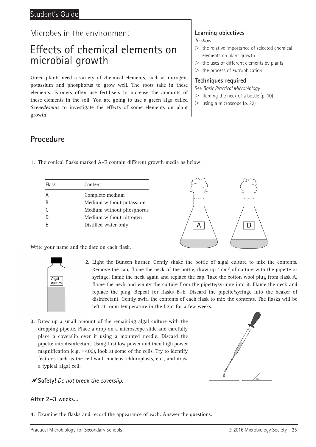## Effects of chemical elements on microbial growth

Green plants need a variety of chemical elements, such as nitrogen, potassium and phosphorus to grow well. The roots take in these elements. Farmers often use fertilisers to increase the amounts of these elements in the soil. You are going to use a green alga called *Scenedesmus* to investigate the effects of some elements on plant growth.

### **Procedure**

| 1. The conical flasks marked A-E contain different growth media as below: |  |  |  |  |  |
|---------------------------------------------------------------------------|--|--|--|--|--|
|                                                                           |  |  |  |  |  |

| Flask | Content                   |
|-------|---------------------------|
| А     | Complete medium           |
| B     | Medium without potassium  |
| C     | Medium without phosphorus |
| D     | Medium without nitrogen   |
|       | Distilled water only      |
|       |                           |



Write your name and the date on each flask.



- **2.** Light the Bunsen burner. Gently shake the bottle of algal culture to mix the contents. Remove the cap, flame the neck of the bottle, draw up  $1 \text{ cm}^3$  of culture with the pipette or syringe, flame the neck again and replace the cap. Take the cotton wool plug from flask A, flame the neck and empty the culture from the pipette/syringe into it. Flame the neck and replace the plug. Repeat for flasks B–E. Discard the pipette/syringe into the beaker of disinfectant. Gently swirl the contents of each flask to mix the contents. The flasks will be left at room temperature in the light for a few weeks.
- **3.** Draw up a small amount of the remaining algal culture with the dropping pipette. Place a drop on a microscope slide and carefully place a coverslip over it using a mounted needle. Discard the pipette into disinfectant. Using first low power and then high power magnification (e.g.  $\times$  400), look at some of the cells. Try to identify features such as the cell wall, nucleus, chloroplasts, etc., and draw a typical algal cell.



#### **Safety!** *Do not break the coverslip.*

#### **After 2–3 weeks…**

**4.** Examine the flasks and record the appearance of each. Answer the questions.

## **Learning objectives**

*To show:*

- $\triangleright$  the relative importance of selected chemical elements on plant growth
- $\triangleright$  the uses of different elements by plants
- $\triangleright$  the process of eutrophication

#### **Techniques required**

See *Basic Practical Microbiology*

- $\triangleright$  flaming the neck of a bottle (p. 10)
- $\triangleright$  using a microscope (p. 22)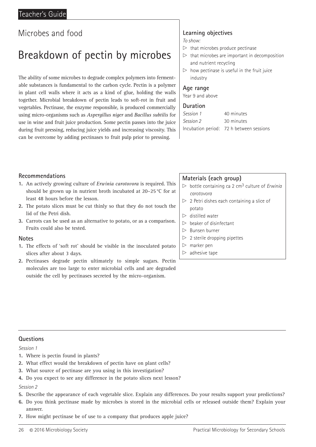## Breakdown of pectin by microbes

The ability of some microbes to degrade complex polymers into fermentable substances is fundamental to the carbon cycle. Pectin is a polymer in plant cell walls where it acts as a kind of glue, holding the walls together. Microbial breakdown of pectin leads to soft-rot in fruit and vegetables. Pectinase, the enzyme responsible, is produced commercially using micro-organisms such as *Aspergillus niger* and *Bacillus subtilis* for use in wine and fruit juice production. Some pectin passes into the juice during fruit pressing, reducing juice yields and increasing viscosity. This can be overcome by adding pectinases to fruit pulp prior to pressing.

#### **Learning objectives**

*To show:*

- $\triangleright$  that microbes produce pectinase
- $\triangleright$  that microbes are important in decomposition and nutrient recycling
- $\triangleright$  how pectinase is useful in the fruit juice industry

#### **Age range**

Year 9 and above

#### **Duration**

| Session 1 | 40 minutes                               |
|-----------|------------------------------------------|
| Session 2 | 30 minutes                               |
|           | Incubation period: 72 h between sessions |

#### **Recommendations**

- **1.** An actively growing culture of *Erwinia carotovora* is required. This should be grown up in nutrient broth incubated at 20–25 °C for at least 48 hours before the lesson.
- **2.** The potato slices must be cut thinly so that they do not touch the lid of the Petri dish.
- **3.** Carrots can be used as an alternative to potato, or as a comparison. Fruits could also be tested.

#### **Notes**

- **1.** The effects of 'soft rot' should be visible in the inoculated potato slices after about 3 days.
- **2.** Pectinases degrade pectin ultimately to simple sugars. Pectin molecules are too large to enter microbial cells and are degraded outside the cell by pectinases secreted by the micro-organism.

#### **Materials (each group)**

- $\triangleright$  bottle containing ca 2 cm<sup>3</sup> culture of *Erwinia carotovora*
- $\triangleright$  2 Petri dishes each containing a slice of potato
- $\triangleright$  distilled water
- $\triangleright$  beaker of disinfectant
- $\triangleright$  Bunsen burner
- $\triangleright$  2 sterile dropping pipettes
- $\triangleright$  marker pen
- $\triangleright$  adhesive tape

#### **Questions**

*Session 1*

- **1.** Where is pectin found in plants?
- **2.** What effect would the breakdown of pectin have on plant cells?
- **3.** What source of pectinase are you using in this investigation?
- **4.** Do you expect to see any difference in the potato slices next lesson?

- **5.** Describe the appearance of each vegetable slice. Explain any differences. Do your results support your predictions?
- **6.** Do you think pectinase made by microbes is stored in the microbial cells or released outside them? Explain your answer.
- **7.** How might pectinase be of use to a company that produces apple juice?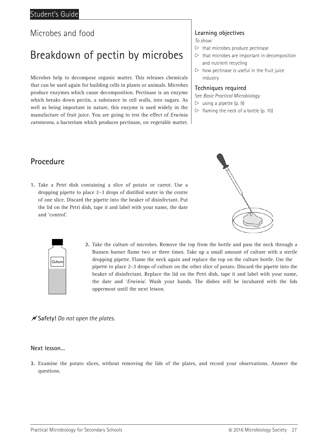## Breakdown of pectin by microbes

Microbes help to decompose organic matter. This releases chemicals that can be used again for building cells in plants or animals. Microbes produce enzymes which cause decomposition. Pectinase is an enzyme which breaks down pectin, a substance in cell walls, into sugars. As well as being important in nature, this enzyme is used widely in the manufacture of fruit juice. You are going to test the effect of *Erwinia carotovora*, a bacterium which produces pectinase, on vegetable matter.

#### **Learning objectives**

*To show:*

- $\triangleright$  that microbes produce pectinase
- $\triangleright$  that microbes are important in decomposition and nutrient recycling  $\triangleright$  how pectinase is useful in the fruit juice
- industry

#### **Techniques required**

See *Basic Practical Microbiology*

- $\triangleright$  using a pipette (p. 9)
- $\triangleright$  flaming the neck of a bottle (p. 10)

### **Procedure**

**1.** Take a Petri dish containing a slice of potato or carrot. Use a dropping pipette to place 2–3 drops of distilled water in the centre of one slice. Discard the pipette into the beaker of disinfectant. Put the lid on the Petri dish, tape it and label with your name, the date and 'control'.





**2.** Take the culture of microbes. Remove the top from the bottle and pass the neck through a Bunsen burner flame two or three times. Take up a small amount of culture with a sterile dropping pipette. Flame the neck again and replace the top on the culture bottle. Use the pipette to place 2–3 drops of culture on the other slice of potato. Discard the pipette into the beaker of disinfectant. Replace the lid on the Petri dish, tape it and label with your name, the date and '*Erwinia*'. Wash your hands. The dishes will be incubated with the lids uppermost until the next lesson.

**Safety!** *Do not open the plates.*

#### **Next lesson…**

**3.** Examine the potato slices, without removing the lids of the plates, and record your observations. Answer the questions.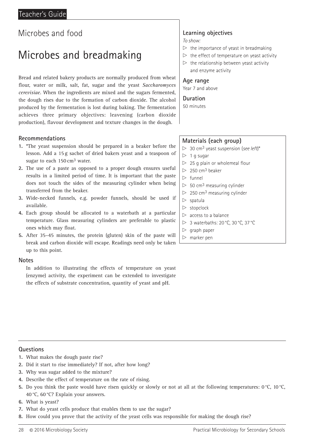## Microbes and breadmaking

Bread and related bakery products are normally produced from wheat flour, water or milk, salt, fat, sugar and the yeast *Saccharomyces cerevisiae*. When the ingredients are mixed and the sugars fermented, the dough rises due to the formation of carbon dioxide. The alcohol produced by the fermentation is lost during baking. The fermentation achieves three primary objectives: leavening (carbon dioxide production), flavour development and texture changes in the dough.

#### **Recommendations**

- **1.** \*The yeast suspension should be prepared in a beaker before the lesson. Add a 15 g sachet of dried bakers yeast and a teaspoon of sugar to each 150 cm<sup>3</sup> water.
- **2.** The use of a paste as opposed to a proper dough ensures useful results in a limited period of time. It is important that the paste does not touch the sides of the measuring cylinder when being transferred from the beaker.
- **3.** Wide-necked funnels, e.g. powder funnels, should be used if available.
- **4.** Each group should be allocated to a waterbath at a particular temperature. Glass measuring cylinders are preferable to plastic ones which may float.
- **5.** After 35–45 minutes, the protein (gluten) skin of the paste will break and carbon dioxide will escape. Readings need only be taken up to this point.

#### **Notes**

In addition to illustrating the effects of temperature on yeast (enzyme) activity, the experiment can be extended to investigate the effects of substrate concentration, quantity of yeast and pH.

## **Learning objectives**

*To show:*

- $\triangleright$  the importance of yeast in breadmaking
- $\triangleright$  the effect of temperature on yeast activity
- $\triangleright$  the relationship between yeast activity and enzyme activity

#### **Age range**

Year 7 and above

#### **Duration**

50 minutes

#### **Materials (each group)**

- $> 30$  cm<sup>3</sup> yeast suspension (see left)\*
- $\triangleright$  1 g sugar
- $>$  25 g plain or wholemeal flour
- $\triangleright$  250 cm<sup>3</sup> beaker
- $\triangleright$  funnel
- $> 50$  cm<sup>3</sup> measuring cylinder
- $\triangleright$  250 cm<sup>3</sup> measuring cylinder
- $\triangleright$  spatula
- $\triangleright$  stopclock
- $\triangleright$  access to a balance
- $\triangleright$  3 waterbaths: 20 °C, 30 °C, 37 °C
- $\triangleright$  graph paper
- $\triangleright$  marker pen

#### **Questions**

- **1.** What makes the dough paste rise?
- **2.** Did it start to rise immediately? If not, after how long?
- **3.** Why was sugar added to the mixture?
- **4.** Describe the effect of temperature on the rate of rising.
- **5.** Do you think the paste would have risen quickly or slowly or not at all at the following temperatures:  $0^{\circ}C$ ,  $10^{\circ}C$ , 40 °C, 60 °C? Explain your answers.
- **6.** What is yeast?
- **7.** What do yeast cells produce that enables them to use the sugar?
- **8.** How could you prove that the activity of the yeast cells was responsible for making the dough rise?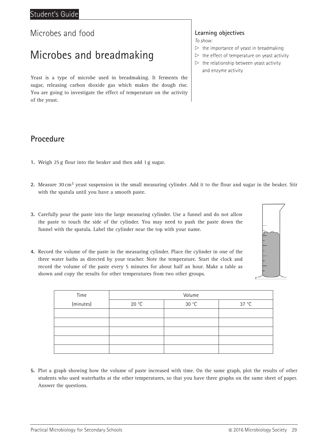## Microbes and breadmaking

Yeast is a type of microbe used in breadmaking. It ferments the sugar, releasing carbon dioxide gas which makes the dough rise. You are going to investigate the effect of temperature on the activity of the yeast.

### **Learning objectives**

*To show:*

- $\triangleright$  the importance of yeast in breadmaking
- $\triangleright$  the effect of temperature on yeast activity
- $\triangleright$  the relationship between yeast activity and enzyme activity

### **Procedure**

- **1.** Weigh 25 g flour into the beaker and then add 1 g sugar.
- **2.** Measure 30 cm3 yeast suspension in the small measuring cylinder. Add it to the flour and sugar in the beaker. Stir with the spatula until you have a smooth paste.
- **3.** Carefully pour the paste into the large measuring cylinder. Use a funnel and do not allow the paste to touch the side of the cylinder. You may need to push the paste down the funnel with the spatula. Label the cylinder near the top with your name.
- **4.** Record the volume of the paste in the measuring cylinder. Place the cylinder in one of the three water baths as directed by your teacher. Note the temperature. Start the clock and record the volume of the paste every 5 minutes for about half an hour. Make a table as shown and copy the results for other temperatures from two other groups.

| Time      | Volume |       |       |  |  |
|-----------|--------|-------|-------|--|--|
| (minutes) | 20 °C  | 30 °C | 37 °C |  |  |
|           |        |       |       |  |  |
|           |        |       |       |  |  |
|           |        |       |       |  |  |
|           |        |       |       |  |  |
|           |        |       |       |  |  |

**5.** Plot a graph showing how the volume of paste increased with time. On the same graph, plot the results of other students who used waterbaths at the other temperatures, so that you have three graphs on the same sheet of paper. Answer the questions.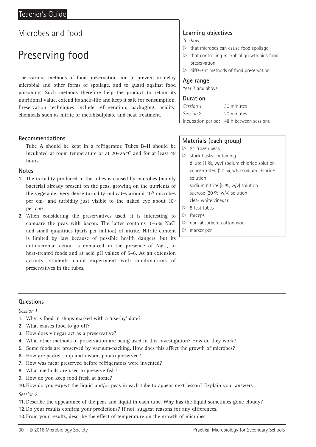## Preserving food

The various methods of food preservation aim to prevent or delay microbial and other forms of spoilage, and to guard against food poisoning. Such methods therefore help the product to retain its nutritional value, extend its shelf-life and keep it safe for consumption. Preservation techniques include refrigeration, packaging, acidity, chemicals such as nitrite or metabisulphate and heat treatment.

#### **Recommendations**

Tube A should be kept in a refrigerator. Tubes B–H should be incubated at room temperature or at 20–25 °C and for at least 48 hours.

#### **Notes**

**1.** The turbidity produced in the tubes is caused by microbes (mainly bacteria) already present on the peas, growing on the nutrients of the vegetable. Very dense turbidity indicates around 109 microbes per cm3 and turbidity just visible to the naked eye about 106 per cm3.

**2.** When considering the preservatives used, it is interesting to compare the peas with bacon. The latter contains 3–6 % NaCl and small quantities (parts per million) of nitrite. Nitrite content is limited by law because of possible health dangers, but its antimicrobial action is enhanced in the presence of NaCl, in heat-treated foods and at acid pH values of 5–6. As an extension activity, students could experiment with combinations of preservatives in the tubes.

## **Learning objectives**

*To show:*

- $\triangleright$  that microbes can cause food spoilage
- $\triangleright$  that controlling microbial growth aids food preservation
- $\triangleright$  different methods of food preservation

#### **Age range**

Year 7 and above

#### **Duration**

| Session 1 | 30 minutes                               |
|-----------|------------------------------------------|
| Session 2 | 20 minutes                               |
|           | Incubation period: 48 h between sessions |

#### **Materials (each group)**

 $> 24$  frozen peas

- $\triangleright$  stock flasks containing: dilute (1 %, w/v) sodium chloride solution concentrated (20 %, w/v) sodium chloride solution sodium nitrite (5 %, w/v) solution sucrose (20 %, w/v) solution
- clear white vinegar
- $\triangleright$  8 test tubes
- $\triangleright$  forceps
- $\triangleright$  non-absorbent cotton wool
- $\triangleright$  marker pen

#### **Questions**

#### *Session 1*

- **1.** Why is food in shops marked with a 'use-by' date?
- **2.** What causes food to go off?
- **3.** How does vinegar act as a preservative?
- **4.** What other methods of preservation are being used in this investigation? How do they work?
- **5.** Some foods are preserved by vacuum-packing. How does this affect the growth of microbes?
- **6.** How are packet soup and instant potato preserved?
- **7.** How was meat preserved before refrigerators were invented?
- **8.** What methods are used to preserve fish?
- **9.** How do you keep food fresh at home?

**10.**How do you expect the liquid and/or peas in each tube to appear next lesson? Explain your answers. *Session 2*

- **11.** Describe the appearance of the peas and liquid in each tube. Why has the liquid sometimes gone cloudy? **12.**Do your results confirm your predictions? If not, suggest reasons for any differences.
- **13.**From your results, describe the effect of temperature on the growth of microbes.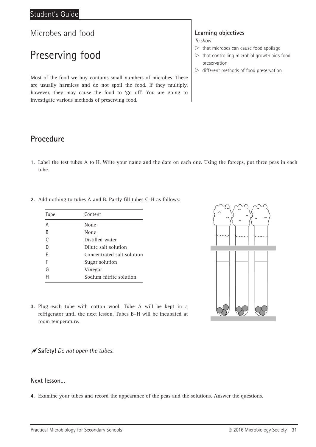## Preserving food

Most of the food we buy contains small numbers of microbes. These are usually harmless and do not spoil the food. If they multiply, however, they may cause the food to 'go off'. You are going to investigate various methods of preserving food.

### **Learning objectives**

*To show:*

- $\triangleright$  that microbes can cause food spoilage
- $\triangleright$  that controlling microbial growth aids food preservation
- $\triangleright$  different methods of food preservation

### **Procedure**

**1.** Label the test tubes A to H. Write your name and the date on each one. Using the forceps, put three peas in each tube.

| Tube | Content                    |
|------|----------------------------|
| A    | None                       |
| B    | None                       |
| ◠    | Distilled water            |
|      | Dilute salt solution       |
| F    | Concentrated salt solution |
| F    | Sugar solution             |
| G    | Vinegar                    |
|      | Sodium nitrite solution    |

**2.** Add nothing to tubes A and B. Partly fill tubes C–H as follows:



**3.** Plug each tube with cotton wool. Tube A will be kept in a refrigerator until the next lesson. Tubes B–H will be incubated at room temperature.

**Safety!** *Do not open the tubes.*

#### **Next lesson…**

**4.** Examine your tubes and record the appearance of the peas and the solutions. Answer the questions.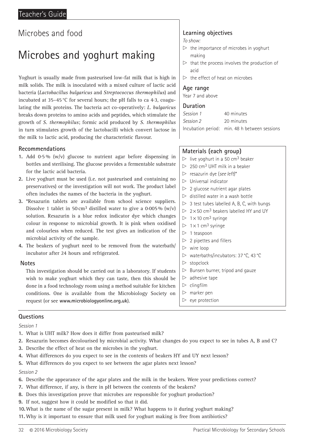## Microbes and yoghurt making

Yoghurt is usually made from pasteurised low-fat milk that is high in milk solids. The milk is inoculated with a mixed culture of lactic acid bacteria (*Lactobacillus bulgaricus* and *Streptococcus thermophilus*) and incubated at 35–45 °C for several hours; the pH falls to ca 4.3, coagulating the milk proteins. The bacteria act co-operatively: *L. bulgaricus* breaks down proteins to amino acids and peptides, which stimulate the growth of *S. thermophilus*; formic acid produced by *S. thermophilus* in turn stimulates growth of the lactobacilli which convert lactose in the milk to lactic acid, producing the characteristic flavour.

#### **Recommendations**

- **1.** Add 0.5 % (w/v) glucose to nutrient agar before dispensing in bottles and sterilising. The glucose provides a fermentable substrate for the lactic acid bacteria.
- **2.** Live yoghurt must be used (i.e. not pasteurised and containing no preservatives) or the investigation will not work. The product label often includes the names of the bacteria in the yoghurt.
- **3.** \*Resazurin tablets are available from school science suppliers. Dissolve 1 tablet in 50 cm<sup>3</sup> distilled water to give a 0.005%  $(w/v)$ solution. Resazurin is a blue redox indicator dye which changes colour in response to microbial growth. It is pink when oxidised and colourless when reduced. The test gives an indication of the microbial activity of the sample.
- **4.** The beakers of yoghurt need to be removed from the waterbath/ incubator after 24 hours and refrigerated.

#### **Notes**

This investigation should be carried out in a laboratory. If students This investigation should be carried out in a laboratory. If students wish to make yoghurt which they can taste, then this should be wish to make yoghurt which they can taste, then this should be done in a food technology room using a method suitable for kitchen conditions. One is available from the Microbiology Society on see **www.microbiologyonline.org.uk**). request (or see **www.microbiologyonline.org.uk**).

#### **Learning objectives**

*To show:*

- $\triangleright$  the importance of microbes in yoghurt making
- $\triangleright$  that the process involves the production of acid
- $\triangleright$  the effect of heat on microbes

#### **Age range**

Year 7 and above

#### **Duration**

| Session 1 | 40 minutes                                    |
|-----------|-----------------------------------------------|
| Session 2 | 20 minutes                                    |
|           | Incubation period: min. 48 h between sessions |

#### **Materials (each group)**

- $\triangleright$  live yoghurt in a 50 cm<sup>3</sup> beaker
- $\triangleright$  250 cm<sup>3</sup> UHT milk in a beaker
- x resazurin dye (*see left*)\*
- $\triangleright$  Universal indicator
- $\triangleright$  2 glucose nutrient agar plates
- $\triangleright$  distilled water in a wash bottle
- $\triangleright$  3 test tubes labelled A, B, C, with bungs
- $\triangleright$  2 × 50 cm<sup>3</sup> beakers labelled HY and UY
- $> 1 \times 10$  cm<sup>3</sup> syringe
- $> 1 \times 1$  cm<sup>3</sup> syringe
- $> 1$  teaspoon
- $> 2$  pipettes and fillers
- $\triangleright$  wire loop
- x waterbaths/incubators: 37 °C, 43 °C
- $\triangleright$  stopclock
- $\triangleright$  Bunsen burner, tripod and gauze
- $\triangleright$  adhesive tape
- $\triangleright$  clingfilm
- $\triangleright$  marker pen
- $\triangleright$  eye protection

#### **Questions**

*Session 1*

- **1.** What is UHT milk? How does it differ from pasteurised milk?
- **2.** Resazurin becomes decolourised by microbial activity. What changes do you expect to see in tubes A, B and C?
- **3.** Describe the effect of heat on the microbes in the yoghurt.
- **4.** What differences do you expect to see in the contents of beakers HY and UY next lesson?
- **5.** What differences do you expect to see between the agar plates next lesson?

- **6.** Describe the appearance of the agar plates and the milk in the beakers. Were your predictions correct?
- **7.** What difference, if any, is there in pH between the contents of the beakers?
- **8.** Does this investigation prove that microbes are responsible for yoghurt production?
- **9.** If not, suggest how it could be modified so that it did.
- **10.**What is the name of the sugar present in milk? What happens to it during yoghurt making?
- **11.** Why is it important to ensure that milk used for yoghurt making is free from antibiotics?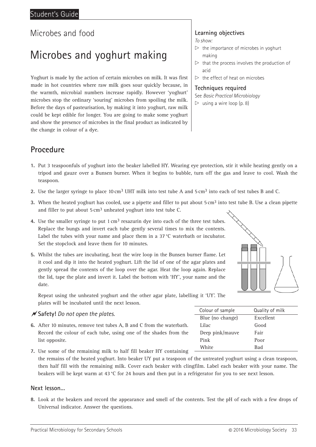## Microbes and yoghurt making

Yoghurt is made by the action of certain microbes on milk. It was first made in hot countries where raw milk goes sour quickly because, in the warmth, microbial numbers increase rapidly. However 'yoghurt' microbes stop the ordinary 'souring' microbes from spoiling the milk. Before the days of pasteurisation, by making it into yoghurt, raw milk could be kept edible for longer. You are going to make some yoghurt and show the presence of microbes in the final product as indicated by the change in colour of a dye.

## **Procedure**

- **1.** Put 3 teaspoonfuls of yoghurt into the beaker labelled HY. Wearing eye protection, stir it while heating gently on a tripod and gauze over a Bunsen burner. When it begins to bubble, turn off the gas and leave to cool. Wash the teaspoon.
- **2.** Use the larger syringe to place 10 cm3 UHT milk into test tube A and 5 cm3 into each of test tubes B and C.
- **3.** When the heated yoghurt has cooled, use a pipette and filler to put about 5 cm<sup>3</sup> into test tube B. Use a clean pipette and filler to put about 5 cm<sup>3</sup> unheated yoghurt into test tube C.
- **4.** Use the smaller syringe to put 1 cm3 resazurin dye into each of the three test tubes. Replace the bungs and invert each tube gently several times to mix the contents. Label the tubes with your name and place them in a 37 °C waterbath or incubator. Set the stopclock and leave them for 10 minutes.
- **5.** Whilst the tubes are incubating, heat the wire loop in the Bunsen burner flame. Let it cool and dip it into the heated yoghurt. Lift the lid of one of the agar plates and gently spread the contents of the loop over the agar. Heat the loop again. Replace the lid, tape the plate and invert it. Label the bottom with 'HY', your name and the date.

Repeat using the unheated yoghurt and the other agar plate, labelling it 'UY'. The plates will be incubated until the next lesson.

#### **Safety!** *Do not open the plates.*

- **6.** After 10 minutes, remove test tubes A, B and C from the waterbath. Record the colour of each tube, using one of the shades from the list opposite.
- **7.** Use some of the remaining milk to half fill beaker HY containing the remains of the heated yoghurt. Into beaker UY put a teaspoon of the untreated yoghurt using a clean teaspoon, then half fill with the remaining milk. Cover each beaker with clingfilm. Label each beaker with your name. The beakers will be kept warm at 43 °C for 24 hours and then put in a refrigerator for you to see next lesson.

#### **Next lesson…**

**8.** Look at the beakers and record the appearance and smell of the contents. Test the pH of each with a few drops of Universal indicator. Answer the questions.

#### **Learning objectives**

*To show:*

- $\triangleright$  the importance of microbes in yoghurt making
- $\triangleright$  that the process involves the production of acid
- $\triangleright$  the effect of heat on microbes

#### **Techniques required**

See *Basic Practical Microbiology*

 $\triangleright$  using a wire loop (p. 8)



| Colour of sample | Quality of milk |
|------------------|-----------------|
| Blue (no change) | Excellent       |
| Lilac            | Good            |
| Deep pink/mauve  | Fair            |
| Pink             | Poor            |
| White            | Bad             |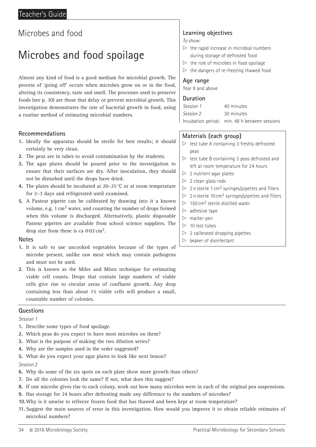## Microbes and food spoilage

Almost any kind of food is a good medium for microbial growth. The process of 'going off' occurs when microbes grow on or in the food, altering its consistency, taste and smell. The processes used to preserve foods (see p. 30) are those that delay or prevent microbial growth. This investigation demonstrates the rate of bacterial growth in food, using a routine method of estimating microbial numbers.

#### **Recommendations**

- **1.** Ideally the apparatus should be sterile for best results; it should certainly be very clean.
- **2.** The peas are in tubes to avoid contamination by the students.
- **3.** The agar plates should be poured prior to the investigation to ensure that their surfaces are dry. After inoculation, they should not be disturbed until the drops have dried.
- **4.** The plates should be incubated at 20–25 °C or at room temperature for 2–3 days and refrigerated until examined.
- **5.** A Pasteur pipette can be calibrated by drawing into it a known volume, e.g. 1 cm3 water, and counting the number of drops formed when this volume is discharged. Alternatively, plastic disposable Pasteur pipettes are available from school science suppliers. The drop size from these is ca 0.02 cm3.

#### **Notes**

- **1.** It is safe to use uncooked vegetables because of the types of microbe present, unlike raw meat which may contain pathogens and must not be used.
- **2.** This is known as the Miles and Misra technique for estimating viable cell counts. Drops that contain large numbers of viable cells give rise to circular areas of confluent growth. Any drop containing less than about 15 viable cells will produce a small, countable number of colonies.

#### **Questions**

#### *Session 1*

- **1.** Describe some types of food spoilage.
- **2.** Which peas do you expect to have most microbes on them?
- **3.** What is the purpose of making the two dilution series?
- **4.** Why are the samples used in the order suggested?
- **5.** What do you expect your agar plates to look like next lesson? *Session 2*
- **6.** Why do some of the six spots on each plate show more growth than others?
- **7.** Do all the colonies look the same? If not, what does this suggest?
- **8.** If one microbe gives rise to each colony, work out how many microbes were in each of the original pea suspensions.
- **9.** Has storage for 24 hours after defrosting made any difference to the numbers of microbes?
- **10.**Why is it unwise to refreeze frozen food that has thawed and been kept at room temperature?
- **11.** Suggest the main sources of error in this investigation. How would you improve it to obtain reliable estimates of microbial numbers?

#### **Learning objectives**

*To show:*

- $\triangleright$  the rapid increase in microbial numbers during storage of defrosted food
- $\triangleright$  the role of microbes in food spoilage
- $\triangleright$  the dangers of re-freezing thawed food

#### **Age range**

Year 9 and above

#### **Duration**

| Session 1 | 40 minutes                                    |
|-----------|-----------------------------------------------|
| Session 2 | 30 minutes                                    |
|           | Incubation period: min. 48 h between sessions |

#### **Materials (each group)**

- $\triangleright$  test tube A containing 3 freshly defrosted peas
- $\triangleright$  test tube B containing 3 peas defrosted and left at room temperature for 24 hours
- $> 2$  nutrient agar plates
- $>$  2 clean glass rods
- $\triangleright$  2 × sterile 1 cm<sup>3</sup> syringes/pipettes and fillers
- $\triangleright$  2 × sterile 10 cm<sup>3</sup> syringes/pipettes and fillers
- $> 150 \text{ cm}^3$  sterile distilled water
- $\triangleright$  adhesive tape
- $\triangleright$  marker pen
- $> 10$  test tubes
- $\triangleright$  2 calibrated dropping pipettes
- $\triangleright$  beaker of disinfectant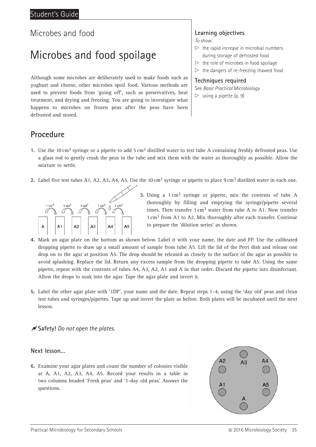## Microbes and food spoilage

Although some microbes are deliberately used to make foods such as yoghurt and cheese, other microbes spoil food. Various methods are used to prevent foods from 'going off', such as preservatives, heat treatment, and drying and freezing. You are going to investigate what happens to microbes on frozen peas after the peas have been defrosted and stored.

### **Learning objectives**

*To show:*

- $\triangleright$  the rapid increase in microbial numbers during storage of defrosted food
- $\triangleright$  the role of microbes in food spoilage
- $\triangleright$  the dangers of re-freezing thawed food

## **Techniques required**

See *Basic Practical Microbiology*  $\triangleright$  using a pipette (p. 9)

### **Procedure**

- **1.** Use the 10 cm3 syringe or a pipette to add 5 cm3 distilled water to test tube A containing freshly defrosted peas. Use a glass rod to gently crush the peas in the tube and mix them with the water as thoroughly as possible. Allow the mixture to settle.
- **2.** Label five test tubes A1, A2, A3, A4, A5. Use the  $10 \text{ cm}^3$  syringe or pipette to place  $9 \text{ cm}^3$  distilled water in each one.



**3.** Using a 1 cm3 syringe or pipette, mix the contents of tube A thoroughly by filling and emptying the syringe/pipette several times. Then transfer  $1 \text{ cm}^3$  water from tube A to A1. Now transfer 1 cm3 from A1 to A2. Mix thoroughly after each transfer. Continue to prepare the 'dilution series' as shown.

- **4.** Mark an agar plate on the bottom as shown below. Label it with your name, the date and FP. Use the calibrated dropping pipette to draw up a small amount of sample from tube A5. Lift the lid of the Petri dish and release one drop on to the agar at position A5. The drop should be released as closely to the surface of the agar as possible to avoid splashing. Replace the lid. Return any excess sample from the dropping pipette to tube A5. Using the same pipette, repeat with the contents of tubes A4, A3, A2, A1 and A in that order. Discard the pipette into disinfectant. Allow the drops to soak into the agar. Tape the agar plate and invert it.
- **5.** Label the other agar plate with '1DP', your name and the date. Repeat steps 1–4, using the 'day old' peas and clean test tubes and syringes/pipettes. Tape up and invert the plate as before. Both plates will be incubated until the next lesson.

#### **Safety!** *Do not open the plates.*

#### **Next lesson…**

**6.** Examine your agar plates and count the number of colonies visible at A, A1, A2, A3, A4, A5. Record your results in a table in two columns headed 'Fresh peas' and '1-day old peas'. Answer the questions.

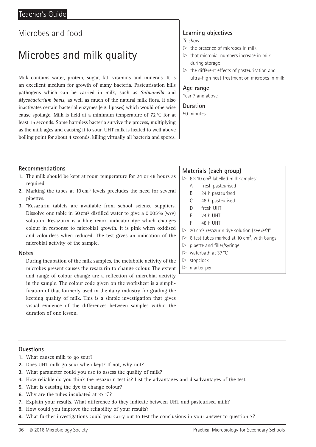## Microbes and milk quality

Milk contains water, protein, sugar, fat, vitamins and minerals. It is an excellent medium for growth of many bacteria. Pasteurisation kills pathogens which can be carried in milk, such as *Salmonella* and *Mycobacterium bovis*, as well as much of the natural milk flora. It also inactivates certain bacterial enzymes (e.g. lipases) which would otherwise cause spoilage. Milk is held at a minimum temperature of 72°C for at least 15 seconds. Some harmless bacteria survive the process, multiplying as the milk ages and causing it to sour. UHT milk is heated to well above boiling point for about 4 seconds, killing virtually all bacteria and spores.

#### **Recommendations**

- **1.** The milk should be kept at room temperature for 24 or 48 hours as required.
- **2.** Marking the tubes at 10 cm3 levels precludes the need for several pipettes.
- **3.** \*Resazurin tablets are available from school science suppliers. Dissolve one table in 50 cm<sup>3</sup> distilled water to give a 0.005% (w/y) solution. Resazurin is a blue redox indicator dye which changes colour in response to microbial growth. It is pink when oxidised and colourless when reduced. The test gives an indication of the microbial activity of the sample.

#### **Notes**

During incubation of the milk samples, the metabolic activity of the microbes present causes the resazurin to change colour. The extent and range of colour change are a reflection of microbial activity in the sample. The colour code given on the worksheet is a simplification of that formerly used in the dairy industry for grading the keeping quality of milk. This is a simple investigation that gives visual evidence of the differences between samples within the duration of one lesson.

## **Learning objectives**

*To show:*

- $\triangleright$  the presence of microbes in milk
- $\triangleright$  that microbial numbers increase in milk during storage
- $\triangleright$  the different effects of pasteurisation and ultra-high heat treatment on microbes in milk

#### **Age range**

Year 7 and above

**Duration** 50 minutes

#### **Materials (each group)**

- $\triangleright$  6 × 10 cm<sup>3</sup> labelled milk samples:
	- A fresh pasteurised
	- B 24 h pasteurised
	- C 48 h pasteurised
	- D fresh UHT
	- E 24 h UHT
	- F 48 h UHT
- $\triangleright$  20 cm<sup>3</sup> resazurin dye solution (see left)\*
- $> 6$  test tubes marked at 10 cm<sup>3</sup>, with bungs
- $\triangleright$  pipette and filler/syringe
- $\triangleright$  waterbath at 37 °C
- $\triangleright$  stopclock
- $\triangleright$  marker pen

#### **Questions**

- **1.** What causes milk to go sour?
- **2.** Does UHT milk go sour when kept? If not, why not?
- **3.** What parameter could you use to assess the quality of milk?
- **4.** How reliable do you think the resazurin test is? List the advantages and disadvantages of the test.
- **5.** What is causing the dye to change colour?
- **6.** Why are the tubes incubated at 37 °C?
- **7.** Explain your results. What difference do they indicate between UHT and pasteurised milk?
- **8.** How could you improve the reliability of your results?
- **9.** What further investigations could you carry out to test the conclusions in your answer to question 7?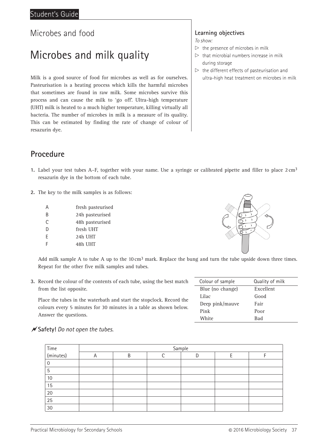## Microbes and milk quality

Milk is a good source of food for microbes as well as for ourselves. Pasteurisation is a heating process which kills the harmful microbes that sometimes are found in raw milk. Some microbes survive this process and can cause the milk to 'go off'. Ultra-high temperature (UHT) milk is heated to a much higher temperature, killing virtually all bacteria. The number of microbes in milk is a measure of its quality. This can be estimated by finding the rate of change of colour of resazurin dye.

## **Procedure**

- **1.** Label your test tubes A–F, together with your name. Use a syringe or calibrated pipette and filler to place 2 cm3 resazurin dye in the bottom of each tube.
- **2.** The key to the milk samples is as follows:

| A | fresh pasteurised |
|---|-------------------|
| B | 24h pasteurised   |
| C | 48h pasteurised   |
| D | fresh UHT         |
| F | 24h UHT           |
|   | 48h UHT           |
|   |                   |



Add milk sample A to tube A up to the  $10 \text{ cm}^3$  mark. Replace the bung and turn the tube upside down three times. Repeat for the other five milk samples and tubes.

**3.** Record the colour of the contents of each tube, using the best match from the list opposite.

Place the tubes in the waterbath and start the stopclock. Record the colours every 5 minutes for 30 minutes in a table as shown below. Answer the questions.

| Colour of sample | Quality of milk |
|------------------|-----------------|
| Blue (no change) | Excellent       |
| Lilac            | Good            |
| Deep pink/mauve  | Fair            |
| Pink             | Poor            |
| White            | <b>Bad</b>      |

#### **Safety!** *Do not open the tubes.*

|                     | Sample         |   |  |    |  |  |
|---------------------|----------------|---|--|----|--|--|
| Time<br>  (minutes) | $\overline{A}$ | R |  | IJ |  |  |
|                     |                |   |  |    |  |  |
| 5                   |                |   |  |    |  |  |
| 10                  |                |   |  |    |  |  |
| 15                  |                |   |  |    |  |  |
| $20\,$              |                |   |  |    |  |  |
| 25                  |                |   |  |    |  |  |
| 30                  |                |   |  |    |  |  |

### **Learning objectives**

*To show:*

- $\triangleright$  the presence of microbes in milk
- $\triangleright$  that microbial numbers increase in milk during storage
- $\triangleright$  the different effects of pasteurisation and ultra-high heat treatment on microbes in milk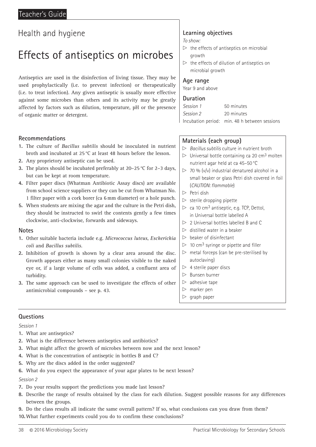## Effects of antiseptics on microbes

Antiseptics are used in the disinfection of living tissue. They may be used prophylactically (i.e. to prevent infection) or therapeutically (i.e. to treat infection). Any given antiseptic is usually more effective against some microbes than others and its activity may be greatly affected by factors such as dilution, temperature, pH or the presence of organic matter or detergent.

#### **Recommendations**

- **1.** The culture of *Bacillus subtilis* should be inoculated in nutrient broth and incubated at 25 °C at least 48 hours before the lesson.
- **2.** Any proprietory antiseptic can be used.
- **3.** The plates should be incubated preferably at 20–25 °C for 2–3 days, but can be kept at room temperature.
- **4.** Filter paper discs (Whatman Antibiotic Assay discs) are available from school science suppliers or they can be cut from Whatman No. 1 filter paper with a cork borer (ca 6 mm diameter) or a hole punch.
- **5.** When students are mixing the agar and the culture in the Petri dish, they should be instructed to swirl the contents gently a few times clockwise, anti-clockwise, forwards and sideways.

#### **Notes**

- **1.** Other suitable bacteria include e.g. *Micrococcus luteus*, *Escherichia coli* and *Bacillus subtilis*.
- **2.** Inhibition of growth is shown by a clear area around the disc. Growth appears either as many small colonies visible to the naked eye or, if a large volume of cells was added, a confluent area of turbidity.
- **3.** The same approach can be used to investigate the effects of other antimicrobial compounds – see p. 43.

#### **Learning objectives**

*To show:*

- $\triangleright$  the effects of antiseptics on microbial growth
- $\triangleright$  the effects of dilution of antiseptics on microbial growth

#### **Age range**

Year 9 and above

#### **Duration**

| Session 1 | 50 minutes                                    |
|-----------|-----------------------------------------------|
| Session 2 | 20 minutes                                    |
|           | Incubation period: min. 48 h between sessions |

#### **Materials (each group)**

- x *Bacillus subtilis* culture in nutrient broth
- $\triangleright$  Universal bottle containing ca 20 cm<sup>3</sup> molten nutrient agar held at ca 45–50 °C
- $\triangleright$  70 % (v/v) industrial denatured alcohol in a small beaker or glass Petri dish covered in foil (*CAUTION: flammable*)
- $\triangleright$  Petri dish
- $\triangleright$  sterile dropping pipette
- $\triangleright$  ca 10 cm<sup>3</sup> antiseptic, e.g. TCP, Dettol, in Universal bottle labelled A
- $\triangleright$  2 Universal bottles labelled B and C
- $\triangleright$  distilled water in a beaker
- $\triangleright$  beaker of disinfectant
- $> 10$  cm<sup>3</sup> syringe or pipette and filler
- $\triangleright$  metal forceps (can be pre-sterilised by autoclaving)
- $> 4$  sterile paper discs
- $\triangleright$  Bunsen burner
- $\triangleright$  adhesive tape
- $\triangleright$  marker pen
- $\triangleright$  graph paper

#### **Questions**

*Session 1*

- **1.** What are antiseptics?
- **2.** What is the difference between antiseptics and antibiotics?
- **3.** What might affect the growth of microbes between now and the next lesson?
- **4.** What is the concentration of antiseptic in bottles B and C?
- **5.** Why are the discs added in the order suggested?
- **6.** What do you expect the appearance of your agar plates to be next lesson?

- **7.** Do your results support the predictions you made last lesson?
- **8.** Describe the range of results obtained by the class for each dilution. Suggest possible reasons for any differences between the groups.
- **9.** Do the class results all indicate the same overall pattern? If so, what conclusions can you draw from them?
- **10.**What further experiments could you do to confirm these conclusions?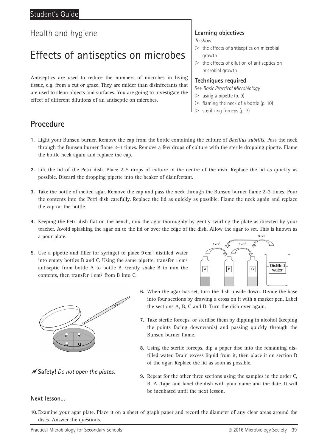## Effects of antiseptics on microbes

Antiseptics are used to reduce the numbers of microbes in living tissue, e.g. from a cut or graze. They are milder than disinfectants that are used to clean objects and surfaces. You are going to investigate the effect of different dilutions of an antiseptic on microbes.

#### **Learning objectives**

*To show:*

- $\triangleright$  the effects of antiseptics on microbial growth
- $\triangleright$  the effects of dilution of antiseptics on microbial growth

#### **Techniques required**

See *Basic Practical Microbiology*

- $\triangleright$  using a pipette (p. 9)
- $\triangleright$  flaming the neck of a bottle (p. 10)
- $\triangleright$  sterilizing forceps (p. 7)

### **Procedure**

- **1.** Light your Bunsen burner. Remove the cap from the bottle containing the culture of *Bacillus subtilis*. Pass the neck through the Bunsen burner flame 2–3 times. Remove a few drops of culture with the sterile dropping pipette. Flame the bottle neck again and replace the cap.
- **2.** Lift the lid of the Petri dish. Place 2–5 drops of culture in the centre of the dish. Replace the lid as quickly as possible. Discard the dropping pipette into the beaker of disinfectant.
- **3.** Take the bottle of melted agar. Remove the cap and pass the neck through the Bunsen burner flame 2–3 times. Pour the contents into the Petri dish carefully. Replace the lid as quickly as possible. Flame the neck again and replace the cap on the bottle.
- **4.** Keeping the Petri dish flat on the bench, mix the agar thoroughly by gently swirling the plate as directed by your teacher. Avoid splashing the agar on to the lid or over the edge of the dish. Allow the agar to set. This is known as a pour plate.  $9 \text{ cm}^3$
- **5.** Use a pipette and filler (or syringe) to place 9 cm3 distilled water into empty bottles B and C. Using the same pipette, transfer 1 cm3 antiseptic from bottle A to bottle B. Gently shake B to mix the contents, then transfer 1 cm3 from B into C.





**Safety!** *Do not open the plates.*

- **6.** When the agar has set, turn the dish upside down. Divide the base into four sections by drawing a cross on it with a marker pen. Label the sections A, B, C and D. Turn the dish over again.
- **7.** Take sterile forceps, or sterilise them by dipping in alcohol (keeping the points facing downwards) and passing quickly through the Bunsen burner flame.
- **8.** Using the sterile forceps, dip a paper disc into the remaining distilled water. Drain excess liquid from it, then place it on section D of the agar. Replace the lid as soon as possible.
- **9.** Repeat for the other three sections using the samples in the order C, B, A. Tape and label the dish with your name and the date. It will be incubated until the next lesson.

#### **Next lesson…**

**10.** Examine your agar plate. Place it on a sheet of graph paper and record the diameter of any clear areas around the discs. Answer the questions.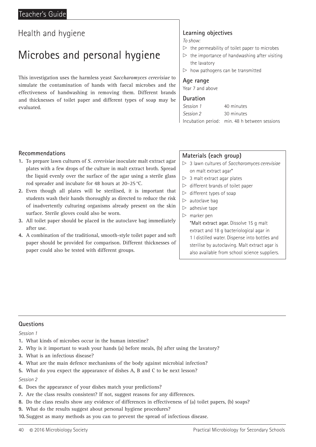## Microbes and personal hygiene

This investigation uses the harmless yeast *Saccharomyces cerevisiae* to simulate the contamination of hands with faecal microbes and the effectiveness of handwashing in removing them. Different brands and thicknesses of toilet paper and different types of soap may be evaluated.

### **Learning objectives**

*To show:*

- $\triangleright$  the permeability of toilet paper to microbes
- $\triangleright$  the importance of handwashing after visiting the lavatory
- $\triangleright$  how pathogens can be transmitted

#### **Age range**

Year 7 and above

#### **Duration**

| Session 1 | 40 minutes                                    |
|-----------|-----------------------------------------------|
| Session 2 | 30 minutes                                    |
|           | Incubation period: min. 48 h between sessions |

#### **Recommendations**

- **1.** To prepare lawn cultures of *S. cerevisiae* inoculate malt extract agar plates with a few drops of the culture in malt extract broth. Spread the liquid evenly over the surface of the agar using a sterile glass rod spreader and incubate for 48 hours at 20–25 °C.
- **2.** Even though all plates will be sterilised, it is important that students wash their hands thoroughly as directed to reduce the risk of inadvertently culturing organisms already present on the skin surface. Sterile gloves could also be worn.
- **3.** All toilet paper should be placed in the autoclave bag immediately after use.
- **4.** A combination of the traditional, smooth-style toilet paper and soft paper should be provided for comparison. Different thicknesses of paper could also be tested with different groups.

#### **Materials (each group)**

- x 3 lawn cultures of *Saccharomyces cerevisiae* on malt extract agar\*
- $> 3$  malt extract agar plates
- $\triangleright$  different brands of toilet paper
- $\triangleright$  different types of soap
- $\triangleright$  autoclave bag
- $\triangleright$  adhesive tape
- $\triangleright$  marker pen \*Malt extract agar. Dissolve 15 g malt extract and 18 g bacteriological agar in
	- 1 l distilled water. Dispense into bottles and
	- sterilise by autoclaving. Malt extract agar is
	- also available from school science suppliers.

#### **Questions**

#### *Session 1*

- **1.** What kinds of microbes occur in the human intestine?
- **2.** Why is it important to wash your hands (a) before meals, (b) after using the lavatory?
- **3.** What is an infectious disease?
- **4.** What are the main defence mechanisms of the body against microbial infection?
- **5.** What do you expect the appearance of dishes A, B and C to be next lesson?

- **6.** Does the appearance of your dishes match your predictions?
- **7.** Are the class results consistent? If not, suggest reasons for any differences.
- **8.** Do the class results show any evidence of differences in effectiveness of (a) toilet papers, (b) soaps?
- **9.** What do the results suggest about personal hygiene procedures?
- **10.** Suggest as many methods as you can to prevent the spread of infectious disease.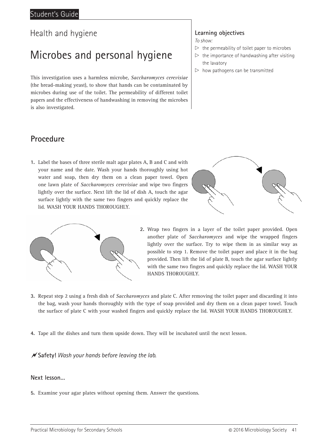## Microbes and personal hygiene

This investigation uses a harmless microbe, *Saccharomyces cerevisiae* (the bread-making yeast), to show that hands can be contaminated by microbes during use of the toilet. The permeability of different toilet papers and the effectiveness of handwashing in removing the microbes is also investigated.

#### **Learning objectives**

*To show:*

- $\triangleright$  the permeability of toilet paper to microbes
- $\triangleright$  the importance of handwashing after visiting the lavatory
- $\triangleright$  how pathogens can be transmitted

### **Procedure**

**1.** Label the bases of three sterile malt agar plates A, B and C and with your name and the date. Wash your hands thoroughly using hot water and soap, then dry them on a clean paper towel. Open one lawn plate of *Saccharomyces cerevisiae* and wipe two fingers lightly over the surface. Next lift the lid of dish A, touch the agar surface lightly with the same two fingers and quickly replace the lid. WASH YOUR HANDS THOROUGHLY.





**2.** Wrap two fingers in a layer of the toilet paper provided. Open another plate of *Saccharomyces* and wipe the wrapped fingers lightly over the surface. Try to wipe them in as similar way as possible to step 1. Remove the toilet paper and place it in the bag provided. Then lift the lid of plate B, touch the agar surface lightly with the same two fingers and quickly replace the lid. WASH YOUR HANDS THOROUGHLY.

- **3.** Repeat step 2 using a fresh dish of *Saccharomyces* and plate C. After removing the toilet paper and discarding it into the bag, wash your hands thoroughly with the type of soap provided and dry them on a clean paper towel. Touch the surface of plate C with your washed fingers and quickly replace the lid. WASH YOUR HANDS THOROUGHLY.
- **4.** Tape all the dishes and turn them upside down. They will be incubated until the next lesson.

**Safety!** *Wash your hands before leaving the lab.*

#### **Next lesson…**

**5.** Examine your agar plates without opening them. Answer the questions.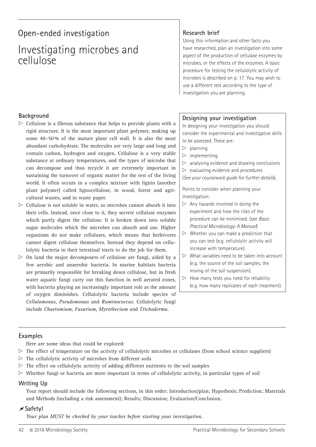## Open-ended investigation

## Investigating microbes and cellulose

#### **Background**

- $\triangleright$  Cellulose is a fibrous substance that helps to provide plants with a rigid structure. It is the most important plant polymer, making up some 40–50 % of the mature plant cell wall. It is also the most abundant carbohydrate. The molecules are very large and long and contain carbon, hydrogen and oxygen. Cellulose is a very stable substance at ordinary temperatures, and the types of microbe that can decompose and thus recycle it are extremely important in sustaining the turnover of organic matter for the rest of the living world. It often occurs in a complex mixture with lignin (another plant polymer) called lignocellulose, in wood, forest and agricultural wastes, and in waste paper.
- $\triangleright$  Cellulose is not soluble in water, so microbes cannot absorb it into their cells. Instead, once close to it, they secrete cellulase enzymes which partly digest the cellulose. It is broken down into soluble sugar molecules which the microbes can absorb and use. Higher organisms do not make cellulases, which means that herbivores cannot digest cellulose themselves. Instead they depend on cellulolytic bacteria in their intestinal tracts to do the job for them.
- $\triangleright$  On land the major decomposers of cellulose are fungi, aided by a few aerobic and anaerobic bacteria. In marine habitats bacteria are primarily responsible for breaking down cellulose, but in fresh water aquatic fungi carry out this function in well aerated zones, with bacteria playing an increasingly important role as the amount of oxygen diminishes. Cellulolytic bacteria include species of *Cellulomonas*, *Pseudomonas* and *Ruminococcus*. Cellulolytic fungi include *Chaetomium*, *Fusarium*, *Myrothecium* and *Trichoderma*.

#### **Research brief**

Using this information and other facts you have researched, plan an investigation into some aspect of the production of cellulase enzymes by microbes, or the effects of the enzymes. A basic procedure for testing the cellulolytic activity of microbes is described on p. 17. You may wish to use a different test according to the type of investigation you are planning.

#### **Designing your investigation**

In designing your investigation you should consider the experimental and investigative skills to be assessed. These are:

- $\triangleright$  planning
- $\triangleright$  implementing
- $\triangleright$  analysing evidence and drawing conclusions
- $\triangleright$  evaluating evidence and procedures
- (*See your coursework guide for further details*).

Points to consider when planning your investigation:

- $\triangleright$  Any hazards involved in doing the experiment and how the risks of the procedure can be minimised. (see *Basic Practical Microbiology: A Manual*)
- $\triangleright$  Whether you can make a prediction that you can test (e.g. cellulolytic activity will increase with temperature).
- $\triangleright$  What variables need to be taken into account (e.g. the source of the soil samples, the mixing of the soil suspension).
- $\triangleright$  How many tests you need for reliability (e.g. how many replicates of each treatment).

#### **Examples**

Here are some ideas that could be explored:

- $\triangleright$  The effect of temperature on the activity of cellulolytic microbes or cellulases (from school science suppliers)
- $\triangleright$  The cellulolytic activity of microbes from different soils
- $\triangleright$  The effect on cellulolytic activity of adding different nutrients to the soil samples
- $\triangleright$  Whether fungi or bacteria are more important in terms of cellulolytic activity, in particular types of soil

#### **Writing Up**

Your report should include the following sections, in this order: Introduction/plan; Hypothesis; Prediction; Materials and Methods (including a risk assessment); Results; Discussion; Evaluation/Conclusion.

#### $\mathcal{N}$  Safety!

*Your plan MUST be checked by your teacher before starting your investigation.*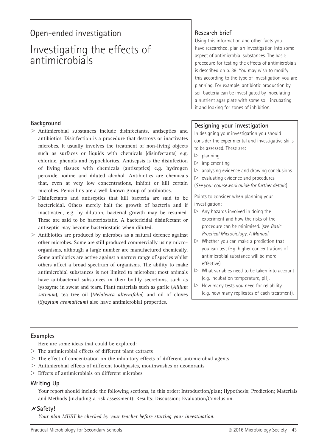## Open-ended investigation **Research brief**

## Investigating the effects of antimicrobials

#### **Background**

- $\triangleright$  Antimicrobial substances include disinfectants, antiseptics and antibiotics. Disinfection is a procedure that destroys or inactivates microbes. It usually involves the treatment of non-living objects such as surfaces or liquids with chemicals (disinfectants) e.g. chlorine, phenols and hypochlorites. Antisepsis is the disinfection of living tissues with chemicals (antiseptics) e.g. hydrogen peroxide, iodine and diluted alcohol. Antibiotics are chemicals that, even at very low concentrations, inhibit or kill certain microbes. Penicillins are a well-known group of antibiotics.
- $\triangleright$  Disinfectants and antiseptics that kill bacteria are said to be bactericidal. Others merely halt the growth of bacteria and if inactivated, e.g. by dilution, bacterial growth may be resumed. These are said to be bacteriostatic. A bactericidal disinfectant or antiseptic may become bacteriostatic when diluted.
- $\triangleright$  Antibiotics are produced by microbes as a natural defence against other microbes. Some are still produced commercially using microorganisms, although a large number are manufactured chemically. Some antibiotics are active against a narrow range of species whilst others affect a broad spectrum of organisms. The ability to make antimicrobial substances is not limited to microbes; most animals have antibacterial substances in their bodily secretions, such as lysosyme in sweat and tears. Plant materials such as garlic (*Allium sativum*), tea tree oil (*Melaleuca alternifolia*) and oil of cloves (*Syzyium aromaticum*) also have antimicrobial properties.

Using this information and other facts you have researched, plan an investigation into some aspect of antimicrobial substances. The basic procedure for testing the effects of antimicrobials is described on p. 39. You may wish to modify this according to the type of investigation you are planning. For example, antibiotic production by soil bacteria can be investigated by inoculating a nutrient agar plate with some soil, incubating it and looking for zones of inhibition.

#### **Designing your investigation**

In designing your investigation you should consider the experimental and investigative skills to be assessed. These are:

- $\triangleright$  planning
- $\triangleright$  implementing
- $\triangleright$  analysing evidence and drawing conclusions
- $\triangleright$  evaluating evidence and procedures

(*See your coursework guide for further details*).

Points to consider when planning your investigation:

- $\triangleright$  Any hazards involved in doing the experiment and how the risks of the procedure can be minimised. (see *Basic Practical Microbiology: A Manual*)
- $\triangleright$  Whether you can make a prediction that you can test (e.g. higher concentrations of antimicrobial substance will be more effective).
- $\triangleright$  What variables need to be taken into account (e.g. incubation temperature, pH).
- $\triangleright$  How many tests you need for reliability (e.g. how many replicates of each treatment).

#### **Examples**

- Here are some ideas that could be explored:
- $\triangleright$  The antimicrobial effects of different plant extracts
- $\triangleright$  The effect of concentration on the inhibitory effects of different antimicrobial agents
- $\triangleright$  Antimicrobial effects of different toothpastes, mouthwashes or deodorants
- $\triangleright$  Effects of antimicrobials on different microbes

#### **Writing Up**

Your report should include the following sections, in this order: Introduction/plan; Hypothesis; Prediction; Materials and Methods (including a risk assessment); Results; Discussion; Evaluation/Conclusion.

#### $\overline{\mathsf{X}}$  Safety!

*Your plan MUST be checked by your teacher before starting your investigation.*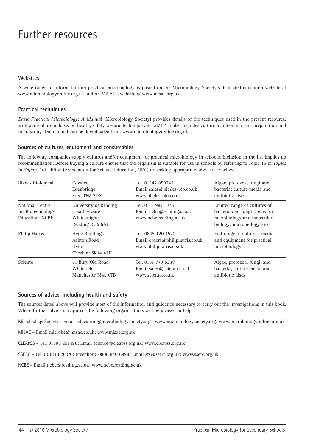## Further resources

#### **Websites Websites**

A wide range of information on practical microbiology is posted on the Microbiology Society's dedicated education website at which angle of information on practical interosiology is posted on the Microwov.<br>www.microbiologyonline.org.uk and on MiSAC's website at www.misac.org.uk.

#### **Health & safety** The most up-to-date and detailed source of information on the safe use of micro-organisms in schools is *Topics in Safety*, 3rd edn **Practical techniques**

Basic Practical Microbiology: A Manual (Microbiology Society) provides details of the techniques used in the present resource, with particular emphasis on health, safety, aseptic technique and GMLP. It also includes culture maintenance and preparation and microscopy. The manual can be downloaded from www.microbiologyonline.org.uk

#### **Practical techniques** *Basic Practical Microbiology: A Manual* (Society for General Microbiology, 2006) provides details of the techniques used in the **Sources of cultures, equipment and consumables**

The following companies supply cultures and/or equipment for practical microbiology in schools. Inclusion in the list implies no recommendation. Before buying a culture ensure that the organism is suitable for use in schools by referring to Topic 15 in Topics *in Safety*, 3rd edition (Association for Science Education, 2001) or seeking appropriate advice (see below).

| <b>Blades Biological</b>                                        | Cowden                                                                    | Tel. 01342 850242                                                               | Algae, protozoa, fungi and                                                                                                |
|-----------------------------------------------------------------|---------------------------------------------------------------------------|---------------------------------------------------------------------------------|---------------------------------------------------------------------------------------------------------------------------|
|                                                                 | Edenbridge                                                                | Email sales@blades-bio.co.uk                                                    | bacteria; culture media and                                                                                               |
|                                                                 | Kent TN8 7DX                                                              | www.blades-bio.co.uk                                                            | antibiotic discs                                                                                                          |
| National Centre<br>for Biotechnology<br><b>Education (NCBE)</b> | University of Reading<br>2 Earley Gate<br>Whiteknights<br>Reading RG6 6AU | Tel. 0118 987 3743<br>Email ncbe@reading.ac.uk<br>www.ncbe.reading.ac.uk        | Limited range of cultures of<br>bacteria and fungi; items for<br>microbiology and molecular<br>biology; microbiology kits |
| Philip Harris                                                   | Hyde Buildings<br>Ashton Road<br>Hyde<br>Cheshire SK14 4SH                | Tel. 0845 120 4520<br>Email orders@philipharris.co.uk<br>www.philipharris.co.uk | Full range of cultures, media<br>and equipment for practical<br>microbiology                                              |
| Sciento                                                         | 61 Bury Old Road                                                          | Tel. 0161 773 6338                                                              | Algae, protozoa, fungi, and                                                                                               |
|                                                                 | Whitefield                                                                | Email sales@sciento.co.uk                                                       | bacteria; culture media and                                                                                               |
|                                                                 | Manchester M45 6TB                                                        | www.sciento.co.uk                                                               | antibiotic discs                                                                                                          |

#### Philip Harris Education Hyde Buildings **www.philipharris.co.uk** A wide range of cultures, media and **Sources of advice, including health and safety**  $\mathcal{L}$

The sources listed above will provide most of the information and guidance necessary to carry out the investigations in this book. Where further advice is required, the following organisations will be pleased to help.

SK14 4SH Microbiology Society – Email education@microbiologysociety.org ; www.microbiologysociety.org; www.microbiologyonline.org.uk<br>.

MiSAC – Email microbe@misac.co.uk; www.misac.org.uk

CLEAPSS – Tel. 01895 251496; Email science@cleapss.org.uk; www.cleapss.org.uk

**Sources of advice** SSERC – Tel. 01383 626070; Freephone 0800 840 6998; Email sts@sserc.org.uk; www.sserc.org.uk

NCBE – Email ncbe@reading.ac.uk; www.ncbe.reading.ac.uk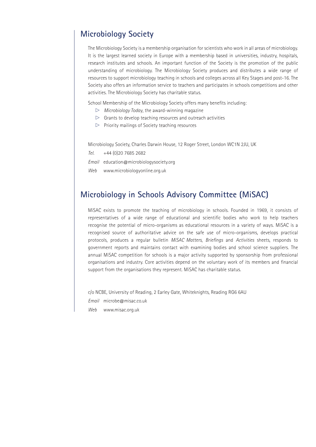### **Microbiology Society**

The Microbiology Society is a membership organisation for scientists who work in all areas of microbiology. It is the largest learned society in Europe with a membership based in universities, industry, hospitals, research institutes and schools. An important function of the Society is the promotion of the public understanding of microbiology. The Microbiology Society produces and distributes a wide range of resources to support microbiology teaching in schools and colleges across all Key Stages and post-16. The Society also offers an information service to teachers and participates in schools competitions and other activities. The Microbiology Society has charitable status.

School Membership of the Microbiology Society offers many benefits including:

- $\triangleright$  *Microbiology Today*, the award-winning magazine
- $\triangleright$  Grants to develop teaching resources and outreach activities
- $\triangleright$  Priority mailings of Society teaching resources

Microbiology Society, Charles Darwin House, 12 Roger Street, London WC1N 2JU, UK

*Tel.* +44 (0)20 7685 2682

*Email* education@microbiologysociety.org

*Web* www.microbiologyonline.org.uk

### **Microbiology in Schools Advisory Committee (MiSAC)**

MiSAC exists to promote the teaching of microbiology in schools. Founded in 1969, it consists of representatives of a wide range of educational and scientific bodies who work to help teachers recognise the potential of micro-organisms as educational resources in a variety of ways. MiSAC is a recognised source of authoritative advice on the safe use of micro-organisms, develops practical protocols, produces a regular bulletin *MiSAC Matters*, *Briefings* and *Activities* sheets, responds to government reports and maintains contact with examining bodies and school science suppliers. The annual MiSAC competition for schools is a major activity supported by sponsorship from professional organisations and industry. Core activities depend on the voluntary work of its members and financial support from the organisations they represent. MiSAC has charitable status.

c/o NCBE, University of Reading, 2 Earley Gate, Whiteknights, Reading RG6 6AU *Email* microbe@misac.co.uk *Web* www.misac.org.uk